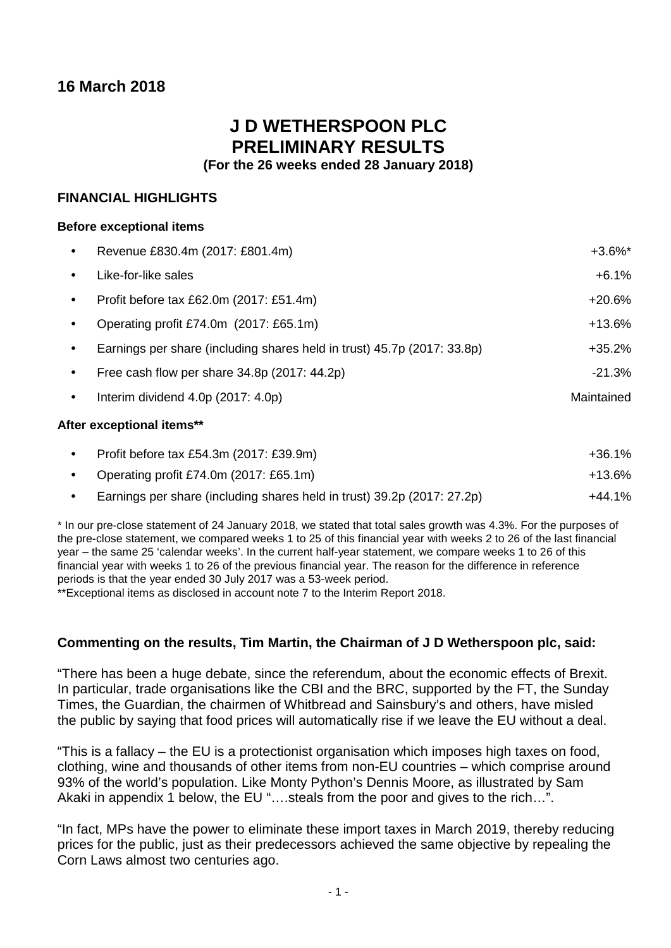# **16 March 2018**

# **J D WETHERSPOON PLC PRELIMINARY RESULTS**

**(For the 26 weeks ended 28 January 2018)**

# **FINANCIAL HIGHLIGHTS**

# **Before exceptional items**

| $\bullet$ | Revenue £830.4m (2017: £801.4m)                                         | $+3.6\%$ * |
|-----------|-------------------------------------------------------------------------|------------|
| $\bullet$ | Like-for-like sales                                                     | $+6.1%$    |
| $\bullet$ | Profit before tax £62.0m (2017: £51.4m)                                 | $+20.6%$   |
| $\bullet$ | Operating profit £74.0m (2017: £65.1m)                                  | $+13.6%$   |
| $\bullet$ | Earnings per share (including shares held in trust) 45.7p (2017: 33.8p) | $+35.2%$   |
| $\bullet$ | Free cash flow per share 34.8p (2017: 44.2p)                            | $-21.3%$   |
| $\bullet$ | Interim dividend 4.0p (2017: 4.0p)                                      | Maintained |
|           | After exceptional items**                                               |            |

| Profit before tax £54.3m (2017: £39.9m)                                 | $+36.1%$ |
|-------------------------------------------------------------------------|----------|
| Operating profit £74.0m (2017: £65.1m)                                  | $+13.6%$ |
| Earnings per share (including shares held in trust) 39.2p (2017: 27.2p) | $+44.1%$ |

\* In our pre-close statement of 24 January 2018, we stated that total sales growth was 4.3%. For the purposes of the pre-close statement, we compared weeks 1 to 25 of this financial year with weeks 2 to 26 of the last financial year – the same 25 'calendar weeks'. In the current half-year statement, we compare weeks 1 to 26 of this financial year with weeks 1 to 26 of the previous financial year. The reason for the difference in reference periods is that the year ended 30 July 2017 was a 53-week period.

\*\*Exceptional items as disclosed in account note 7 to the Interim Report 2018.

# **Commenting on the results, Tim Martin, the Chairman of J D Wetherspoon plc, said:**

"There has been a huge debate, since the referendum, about the economic effects of Brexit. In particular, trade organisations like the CBI and the BRC, supported by the FT, the Sunday Times, the Guardian, the chairmen of Whitbread and Sainsbury's and others, have misled the public by saying that food prices will automatically rise if we leave the EU without a deal.

"This is a fallacy – the EU is a protectionist organisation which imposes high taxes on food, clothing, wine and thousands of other items from non-EU countries – which comprise around 93% of the world's population. Like Monty Python's Dennis Moore, as illustrated by Sam Akaki in appendix 1 below, the EU "….steals from the poor and gives to the rich…".

"In fact, MPs have the power to eliminate these import taxes in March 2019, thereby reducing prices for the public, just as their predecessors achieved the same objective by repealing the Corn Laws almost two centuries ago.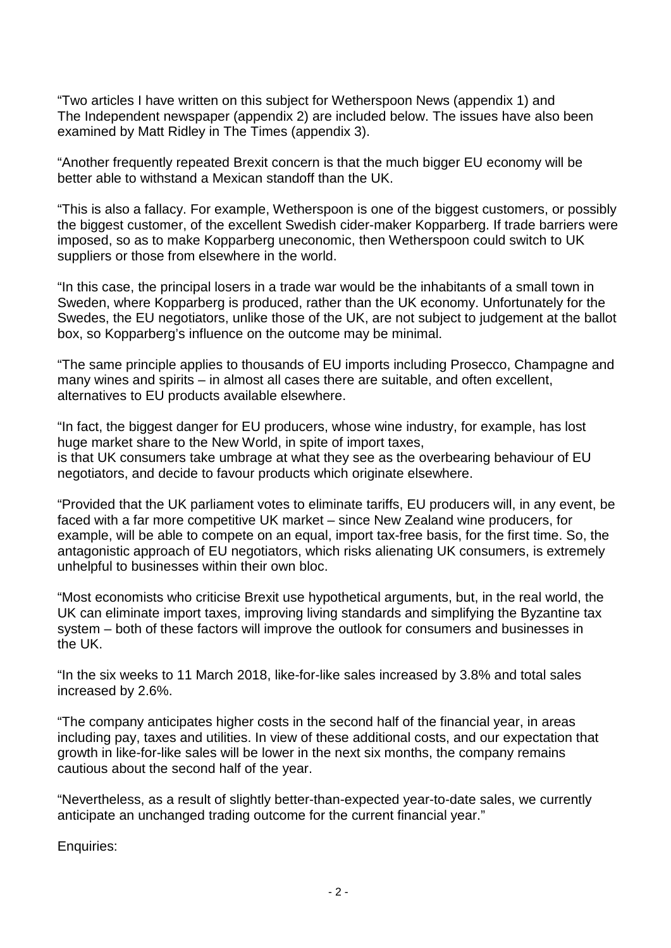"Two articles I have written on this subject for Wetherspoon News (appendix 1) and The Independent newspaper (appendix 2) are included below. The issues have also been examined by Matt Ridley in The Times (appendix 3).

"Another frequently repeated Brexit concern is that the much bigger EU economy will be better able to withstand a Mexican standoff than the UK.

"This is also a fallacy. For example, Wetherspoon is one of the biggest customers, or possibly the biggest customer, of the excellent Swedish cider-maker Kopparberg. If trade barriers were imposed, so as to make Kopparberg uneconomic, then Wetherspoon could switch to UK suppliers or those from elsewhere in the world.

"In this case, the principal losers in a trade war would be the inhabitants of a small town in Sweden, where Kopparberg is produced, rather than the UK economy. Unfortunately for the Swedes, the EU negotiators, unlike those of the UK, are not subject to judgement at the ballot box, so Kopparberg's influence on the outcome may be minimal.

"The same principle applies to thousands of EU imports including Prosecco, Champagne and many wines and spirits – in almost all cases there are suitable, and often excellent, alternatives to EU products available elsewhere.

"In fact, the biggest danger for EU producers, whose wine industry, for example, has lost huge market share to the New World, in spite of import taxes, is that UK consumers take umbrage at what they see as the overbearing behaviour of EU negotiators, and decide to favour products which originate elsewhere.

"Provided that the UK parliament votes to eliminate tariffs, EU producers will, in any event, be faced with a far more competitive UK market – since New Zealand wine producers, for example, will be able to compete on an equal, import tax-free basis, for the first time. So, the antagonistic approach of EU negotiators, which risks alienating UK consumers, is extremely unhelpful to businesses within their own bloc.

"Most economists who criticise Brexit use hypothetical arguments, but, in the real world, the UK can eliminate import taxes, improving living standards and simplifying the Byzantine tax system – both of these factors will improve the outlook for consumers and businesses in the UK.

"In the six weeks to 11 March 2018, like-for-like sales increased by 3.8% and total sales increased by 2.6%.

"The company anticipates higher costs in the second half of the financial year, in areas including pay, taxes and utilities. In view of these additional costs, and our expectation that growth in like-for-like sales will be lower in the next six months, the company remains cautious about the second half of the year.

"Nevertheless, as a result of slightly better-than-expected year-to-date sales, we currently anticipate an unchanged trading outcome for the current financial year."

Enquiries: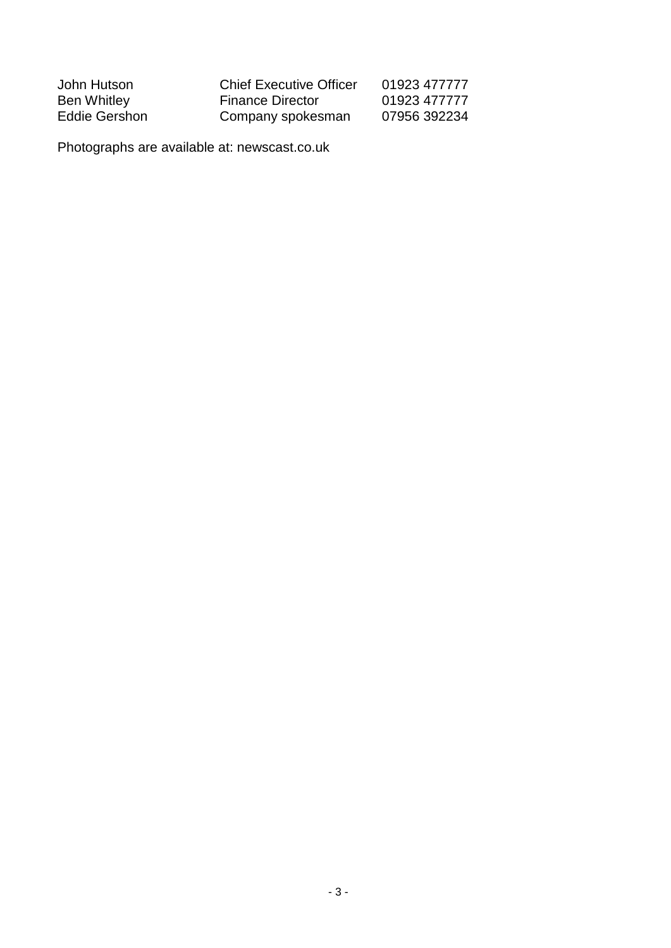| John Hutson   | <b>Chief Executive Officer</b> | 01923 477777 |
|---------------|--------------------------------|--------------|
| Ben Whitley   | <b>Finance Director</b>        | 01923 477777 |
| Eddie Gershon | Company spokesman              | 07956 392234 |

Photographs are available at: newscast.co.uk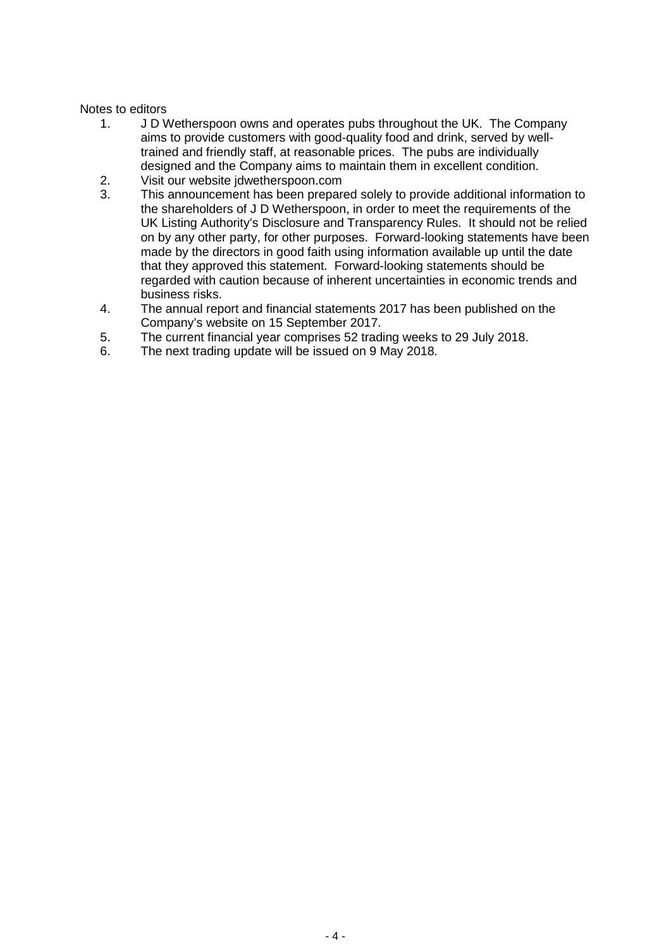# Notes to editors

- 1. J D Wetherspoon owns and operates pubs throughout the UK. The Company aims to provide customers with good-quality food and drink, served by welltrained and friendly staff, at reasonable prices. The pubs are individually designed and the Company aims to maintain them in excellent condition.
- 2. Visit our website jdwetherspoon.com<br>3. This announcement has been prepare
- This announcement has been prepared solely to provide additional information to the shareholders of J D Wetherspoon, in order to meet the requirements of the UK Listing Authority's Disclosure and Transparency Rules. It should not be relied on by any other party, for other purposes. Forward-looking statements have been made by the directors in good faith using information available up until the date that they approved this statement. Forward-looking statements should be regarded with caution because of inherent uncertainties in economic trends and business risks.
- 4. The annual report and financial statements 2017 has been published on the Company's website on 15 September 2017.
- 5. The current financial year comprises 52 trading weeks to 29 July 2018.<br>6. The next trading update will be issued on 9 May 2018.
- The next trading update will be issued on 9 May 2018.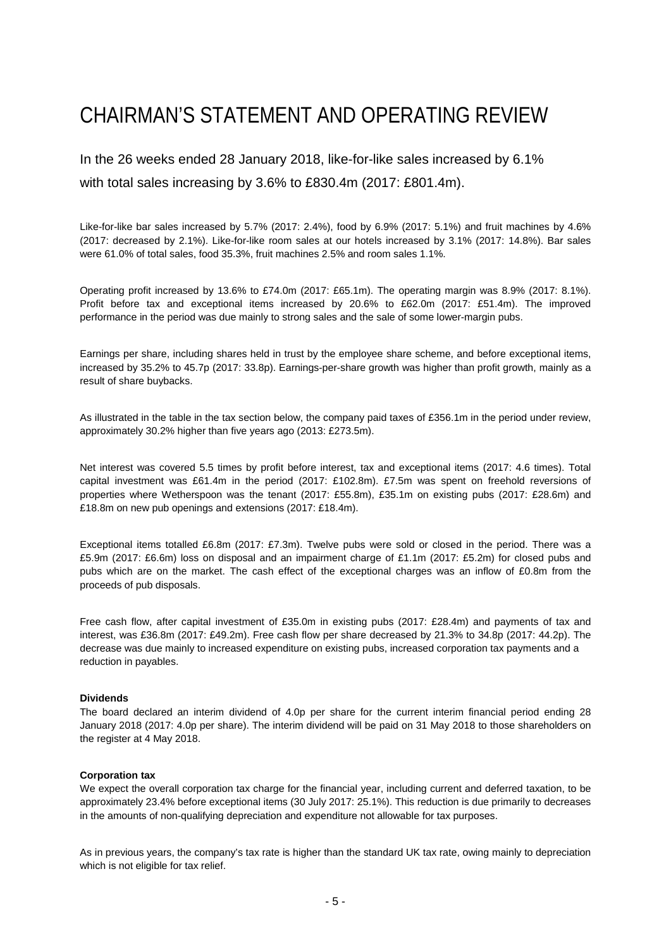# CHAIRMAN'S STATEMENT AND OPERATING REVIEW

In the 26 weeks ended 28 January 2018, like-for-like sales increased by 6.1% with total sales increasing by 3.6% to £830.4m (2017: £801.4m).

Like-for-like bar sales increased by 5.7% (2017: 2.4%), food by 6.9% (2017: 5.1%) and fruit machines by 4.6% (2017: decreased by 2.1%). Like-for-like room sales at our hotels increased by 3.1% (2017: 14.8%). Bar sales were 61.0% of total sales, food 35.3%, fruit machines 2.5% and room sales 1.1%.

Operating profit increased by 13.6% to £74.0m (2017: £65.1m). The operating margin was 8.9% (2017: 8.1%). Profit before tax and exceptional items increased by 20.6% to £62.0m (2017: £51.4m). The improved performance in the period was due mainly to strong sales and the sale of some lower-margin pubs.

Earnings per share, including shares held in trust by the employee share scheme, and before exceptional items, increased by 35.2% to 45.7p (2017: 33.8p). Earnings-per-share growth was higher than profit growth, mainly as a result of share buybacks.

As illustrated in the table in the tax section below, the company paid taxes of £356.1m in the period under review, approximately 30.2% higher than five years ago (2013: £273.5m).

Net interest was covered 5.5 times by profit before interest, tax and exceptional items (2017: 4.6 times). Total capital investment was £61.4m in the period (2017: £102.8m). £7.5m was spent on freehold reversions of properties where Wetherspoon was the tenant (2017: £55.8m), £35.1m on existing pubs (2017: £28.6m) and £18.8m on new pub openings and extensions (2017: £18.4m).

Exceptional items totalled £6.8m (2017: £7.3m). Twelve pubs were sold or closed in the period. There was a £5.9m (2017: £6.6m) loss on disposal and an impairment charge of £1.1m (2017: £5.2m) for closed pubs and pubs which are on the market. The cash effect of the exceptional charges was an inflow of £0.8m from the proceeds of pub disposals.

Free cash flow, after capital investment of £35.0m in existing pubs (2017: £28.4m) and payments of tax and interest, was £36.8m (2017: £49.2m). Free cash flow per share decreased by 21.3% to 34.8p (2017: 44.2p). The decrease was due mainly to increased expenditure on existing pubs, increased corporation tax payments and a reduction in payables.

# **Dividends**

The board declared an interim dividend of 4.0p per share for the current interim financial period ending 28 January 2018 (2017: 4.0p per share). The interim dividend will be paid on 31 May 2018 to those shareholders on the register at 4 May 2018.

# **Corporation tax**

We expect the overall corporation tax charge for the financial year, including current and deferred taxation, to be approximately 23.4% before exceptional items (30 July 2017: 25.1%). This reduction is due primarily to decreases in the amounts of non-qualifying depreciation and expenditure not allowable for tax purposes.

As in previous years, the company's tax rate is higher than the standard UK tax rate, owing mainly to depreciation which is not eligible for tax relief.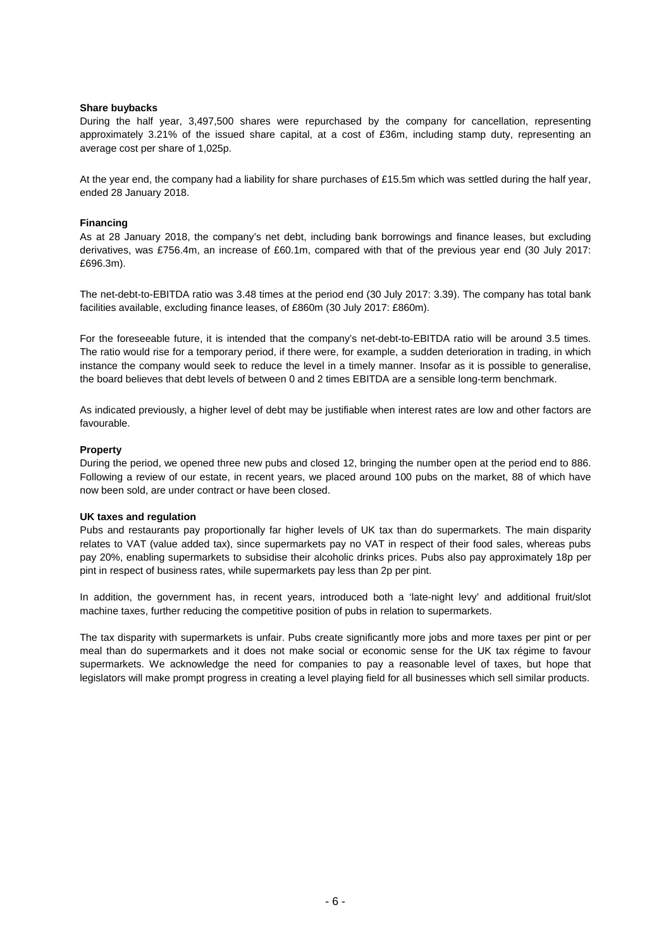# **Share buybacks**

During the half year, 3,497,500 shares were repurchased by the company for cancellation, representing approximately 3.21% of the issued share capital, at a cost of £36m, including stamp duty, representing an average cost per share of 1,025p.

At the year end, the company had a liability for share purchases of £15.5m which was settled during the half year, ended 28 January 2018.

# **Financing**

As at 28 January 2018, the company's net debt, including bank borrowings and finance leases, but excluding derivatives, was £756.4m, an increase of £60.1m, compared with that of the previous year end (30 July 2017: £696.3m).

The net-debt-to-EBITDA ratio was 3.48 times at the period end (30 July 2017: 3.39). The company has total bank facilities available, excluding finance leases, of £860m (30 July 2017: £860m).

For the foreseeable future, it is intended that the company's net-debt-to-EBITDA ratio will be around 3.5 times. The ratio would rise for a temporary period, if there were, for example, a sudden deterioration in trading, in which instance the company would seek to reduce the level in a timely manner. Insofar as it is possible to generalise, the board believes that debt levels of between 0 and 2 times EBITDA are a sensible long-term benchmark.

As indicated previously, a higher level of debt may be justifiable when interest rates are low and other factors are favourable.

# **Property**

During the period, we opened three new pubs and closed 12, bringing the number open at the period end to 886. Following a review of our estate, in recent years, we placed around 100 pubs on the market, 88 of which have now been sold, are under contract or have been closed.

# **UK taxes and regulation**

Pubs and restaurants pay proportionally far higher levels of UK tax than do supermarkets. The main disparity relates to VAT (value added tax), since supermarkets pay no VAT in respect of their food sales, whereas pubs pay 20%, enabling supermarkets to subsidise their alcoholic drinks prices. Pubs also pay approximately 18p per pint in respect of business rates, while supermarkets pay less than 2p per pint.

In addition, the government has, in recent years, introduced both a 'late-night levy' and additional fruit/slot machine taxes, further reducing the competitive position of pubs in relation to supermarkets.

The tax disparity with supermarkets is unfair. Pubs create significantly more jobs and more taxes per pint or per meal than do supermarkets and it does not make social or economic sense for the UK tax régime to favour supermarkets. We acknowledge the need for companies to pay a reasonable level of taxes, but hope that legislators will make prompt progress in creating a level playing field for all businesses which sell similar products.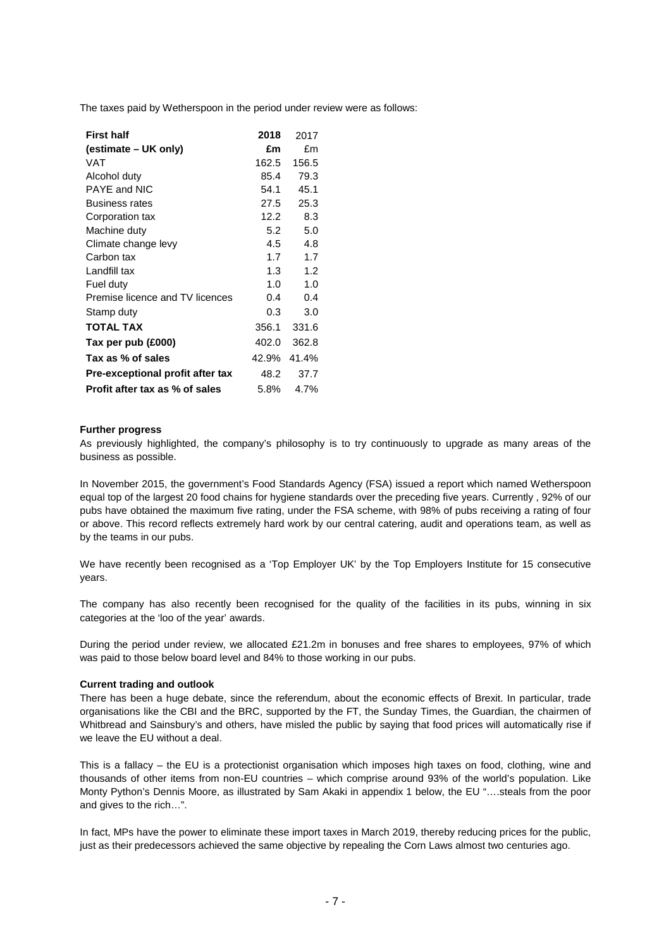The taxes paid by Wetherspoon in the period under review were as follows:

| <b>First half</b>                | 2018              | 2017  |
|----------------------------------|-------------------|-------|
| (estimate – UK only)             | £m                | £m    |
| <b>VAT</b>                       | 162.5             | 156.5 |
| Alcohol duty                     | 85.4              | 79.3  |
| PAYE and NIC                     | 54.1              | 45.1  |
| <b>Business rates</b>            | 27.5              | 25.3  |
| Corporation tax                  | 12.2 <sub>1</sub> | 8.3   |
| Machine duty                     | 5.2               | 5.0   |
| Climate change levy              | 4.5               | 4.8   |
| Carbon tax                       | 1.7               | 1.7   |
| Landfill tax                     | 1.3               | 1.2   |
| Fuel duty                        | 1.0               | 1.0   |
| Premise licence and TV licences  | 0.4               | 0.4   |
| Stamp duty                       | 0.3               | 3.0   |
| <b>TOTAL TAX</b>                 | 356.1             | 331.6 |
| Tax per pub (£000)               | 402.0             | 362.8 |
| Tax as % of sales                | 42.9% 41.4%       |       |
| Pre-exceptional profit after tax | 48.2              | 37.7  |
| Profit after tax as % of sales   | 5.8%              | 4.7%  |

# **Further progress**

As previously highlighted, the company's philosophy is to try continuously to upgrade as many areas of the business as possible.

In November 2015, the government's Food Standards Agency (FSA) issued a report which named Wetherspoon equal top of the largest 20 food chains for hygiene standards over the preceding five years. Currently , 92% of our pubs have obtained the maximum five rating, under the FSA scheme, with 98% of pubs receiving a rating of four or above. This record reflects extremely hard work by our central catering, audit and operations team, as well as by the teams in our pubs.

We have recently been recognised as a 'Top Employer UK' by the Top Employers Institute for 15 consecutive years.

The company has also recently been recognised for the quality of the facilities in its pubs, winning in six categories at the 'loo of the year' awards.

During the period under review, we allocated £21.2m in bonuses and free shares to employees, 97% of which was paid to those below board level and 84% to those working in our pubs.

## **Current trading and outlook**

There has been a huge debate, since the referendum, about the economic effects of Brexit. In particular, trade organisations like the CBI and the BRC, supported by the FT, the Sunday Times, the Guardian, the chairmen of Whitbread and Sainsbury's and others, have misled the public by saying that food prices will automatically rise if we leave the EU without a deal.

This is a fallacy – the EU is a protectionist organisation which imposes high taxes on food, clothing, wine and thousands of other items from non-EU countries – which comprise around 93% of the world's population. Like Monty Python's Dennis Moore, as illustrated by Sam Akaki in appendix 1 below, the EU "….steals from the poor and gives to the rich…".

In fact, MPs have the power to eliminate these import taxes in March 2019, thereby reducing prices for the public, just as their predecessors achieved the same objective by repealing the Corn Laws almost two centuries ago.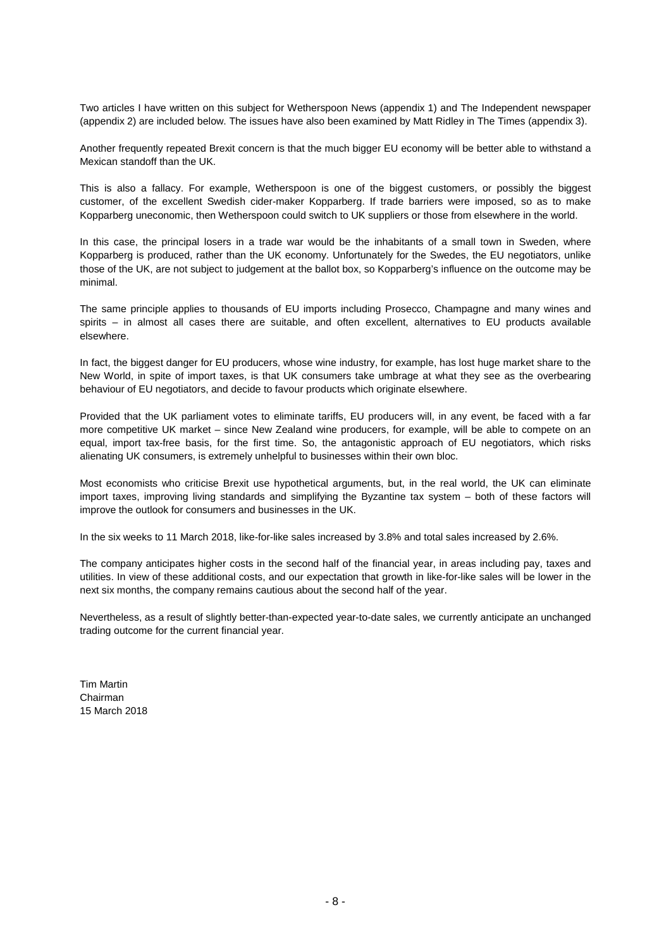Two articles I have written on this subject for Wetherspoon News (appendix 1) and The Independent newspaper (appendix 2) are included below. The issues have also been examined by Matt Ridley in The Times (appendix 3).

Another frequently repeated Brexit concern is that the much bigger EU economy will be better able to withstand a Mexican standoff than the UK.

This is also a fallacy. For example, Wetherspoon is one of the biggest customers, or possibly the biggest customer, of the excellent Swedish cider-maker Kopparberg. If trade barriers were imposed, so as to make Kopparberg uneconomic, then Wetherspoon could switch to UK suppliers or those from elsewhere in the world.

In this case, the principal losers in a trade war would be the inhabitants of a small town in Sweden, where Kopparberg is produced, rather than the UK economy. Unfortunately for the Swedes, the EU negotiators, unlike those of the UK, are not subject to judgement at the ballot box, so Kopparberg's influence on the outcome may be minimal.

The same principle applies to thousands of EU imports including Prosecco, Champagne and many wines and spirits – in almost all cases there are suitable, and often excellent, alternatives to EU products available elsewhere.

In fact, the biggest danger for EU producers, whose wine industry, for example, has lost huge market share to the New World, in spite of import taxes, is that UK consumers take umbrage at what they see as the overbearing behaviour of EU negotiators, and decide to favour products which originate elsewhere.

Provided that the UK parliament votes to eliminate tariffs, EU producers will, in any event, be faced with a far more competitive UK market – since New Zealand wine producers, for example, will be able to compete on an equal, import tax-free basis, for the first time. So, the antagonistic approach of EU negotiators, which risks alienating UK consumers, is extremely unhelpful to businesses within their own bloc.

Most economists who criticise Brexit use hypothetical arguments, but, in the real world, the UK can eliminate import taxes, improving living standards and simplifying the Byzantine tax system – both of these factors will improve the outlook for consumers and businesses in the UK.

In the six weeks to 11 March 2018, like-for-like sales increased by 3.8% and total sales increased by 2.6%.

The company anticipates higher costs in the second half of the financial year, in areas including pay, taxes and utilities. In view of these additional costs, and our expectation that growth in like-for-like sales will be lower in the next six months, the company remains cautious about the second half of the year.

Nevertheless, as a result of slightly better-than-expected year-to-date sales, we currently anticipate an unchanged trading outcome for the current financial year.

Tim Martin Chairman 15 March 2018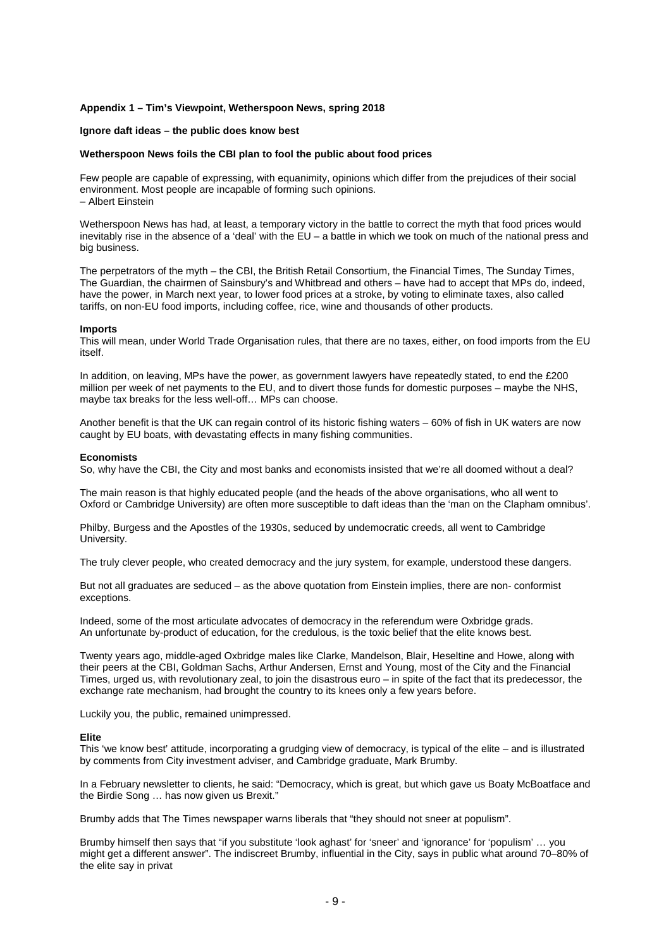## **Appendix 1 – Tim's Viewpoint, Wetherspoon News, spring 2018**

## **Ignore daft ideas – the public does know best**

## **Wetherspoon News foils the CBI plan to fool the public about food prices**

Few people are capable of expressing, with equanimity, opinions which differ from the prejudices of their social environment. Most people are incapable of forming such opinions. – Albert Einstein

Wetherspoon News has had, at least, a temporary victory in the battle to correct the myth that food prices would inevitably rise in the absence of a 'deal' with the EU – a battle in which we took on much of the national press and big business.

The perpetrators of the myth – the CBI, the British Retail Consortium, the Financial Times, The Sunday Times, The Guardian, the chairmen of Sainsbury's and Whitbread and others – have had to accept that MPs do, indeed, have the power, in March next year, to lower food prices at a stroke, by voting to eliminate taxes, also called tariffs, on non-EU food imports, including coffee, rice, wine and thousands of other products.

#### **Imports**

This will mean, under World Trade Organisation rules, that there are no taxes, either, on food imports from the EU itself.

In addition, on leaving, MPs have the power, as government lawyers have repeatedly stated, to end the £200 million per week of net payments to the EU, and to divert those funds for domestic purposes – maybe the NHS, maybe tax breaks for the less well-off… MPs can choose.

Another benefit is that the UK can regain control of its historic fishing waters – 60% of fish in UK waters are now caught by EU boats, with devastating effects in many fishing communities.

#### **Economists**

So, why have the CBI, the City and most banks and economists insisted that we're all doomed without a deal?

The main reason is that highly educated people (and the heads of the above organisations, who all went to Oxford or Cambridge University) are often more susceptible to daft ideas than the 'man on the Clapham omnibus'.

Philby, Burgess and the Apostles of the 1930s, seduced by undemocratic creeds, all went to Cambridge University.

The truly clever people, who created democracy and the jury system, for example, understood these dangers.

But not all graduates are seduced – as the above quotation from Einstein implies, there are non- conformist exceptions.

Indeed, some of the most articulate advocates of democracy in the referendum were Oxbridge grads. An unfortunate by-product of education, for the credulous, is the toxic belief that the elite knows best.

Twenty years ago, middle-aged Oxbridge males like Clarke, Mandelson, Blair, Heseltine and Howe, along with their peers at the CBI, Goldman Sachs, Arthur Andersen, Ernst and Young, most of the City and the Financial Times, urged us, with revolutionary zeal, to join the disastrous euro – in spite of the fact that its predecessor, the exchange rate mechanism, had brought the country to its knees only a few years before.

Luckily you, the public, remained unimpressed.

## **Elite**

This 'we know best' attitude, incorporating a grudging view of democracy, is typical of the elite – and is illustrated by comments from City investment adviser, and Cambridge graduate, Mark Brumby.

In a February newsletter to clients, he said: "Democracy, which is great, but which gave us Boaty McBoatface and the Birdie Song … has now given us Brexit."

Brumby adds that The Times newspaper warns liberals that "they should not sneer at populism".

Brumby himself then says that "if you substitute 'look aghast' for 'sneer' and 'ignorance' for 'populism' … you might get a different answer". The indiscreet Brumby, influential in the City, says in public what around 70–80% of the elite say in privat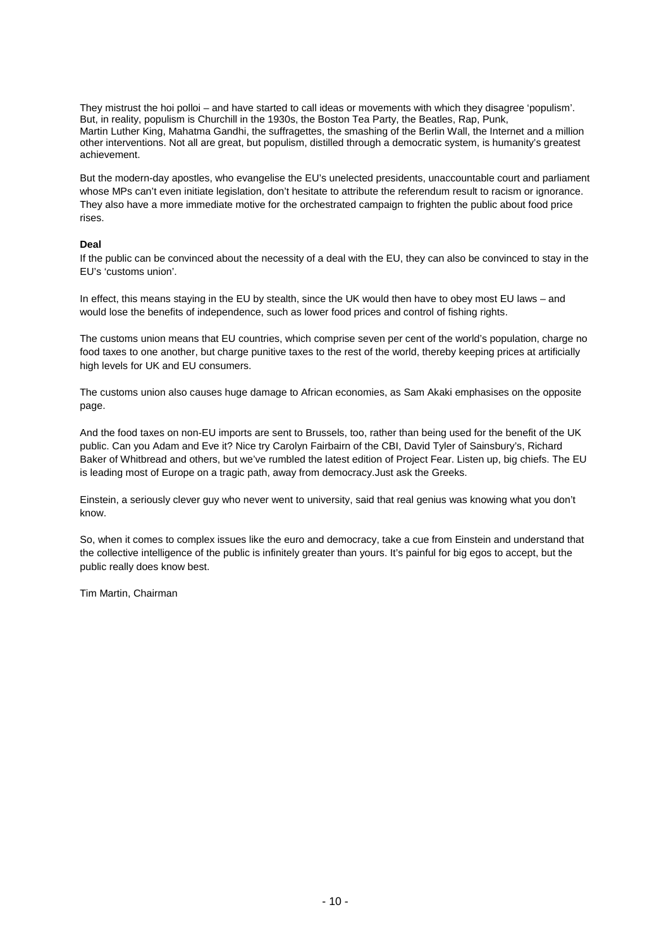They mistrust the hoi polloi – and have started to call ideas or movements with which they disagree 'populism'. But, in reality, populism is Churchill in the 1930s, the Boston Tea Party, the Beatles, Rap, Punk, Martin Luther King, Mahatma Gandhi, the suffragettes, the smashing of the Berlin Wall, the Internet and a million other interventions. Not all are great, but populism, distilled through a democratic system, is humanity's greatest achievement.

But the modern-day apostles, who evangelise the EU's unelected presidents, unaccountable court and parliament whose MPs can't even initiate legislation, don't hesitate to attribute the referendum result to racism or ignorance. They also have a more immediate motive for the orchestrated campaign to frighten the public about food price rises.

# **Deal**

If the public can be convinced about the necessity of a deal with the EU, they can also be convinced to stay in the EU's 'customs union'.

In effect, this means staying in the EU by stealth, since the UK would then have to obey most EU laws – and would lose the benefits of independence, such as lower food prices and control of fishing rights.

The customs union means that EU countries, which comprise seven per cent of the world's population, charge no food taxes to one another, but charge punitive taxes to the rest of the world, thereby keeping prices at artificially high levels for UK and EU consumers.

The customs union also causes huge damage to African economies, as Sam Akaki emphasises on the opposite page.

And the food taxes on non-EU imports are sent to Brussels, too, rather than being used for the benefit of the UK public. Can you Adam and Eve it? Nice try Carolyn Fairbairn of the CBI, David Tyler of Sainsbury's, Richard Baker of Whitbread and others, but we've rumbled the latest edition of Project Fear. Listen up, big chiefs. The EU is leading most of Europe on a tragic path, away from democracy.Just ask the Greeks.

Einstein, a seriously clever guy who never went to university, said that real genius was knowing what you don't know.

So, when it comes to complex issues like the euro and democracy, take a cue from Einstein and understand that the collective intelligence of the public is infinitely greater than yours. It's painful for big egos to accept, but the public really does know best.

Tim Martin, Chairman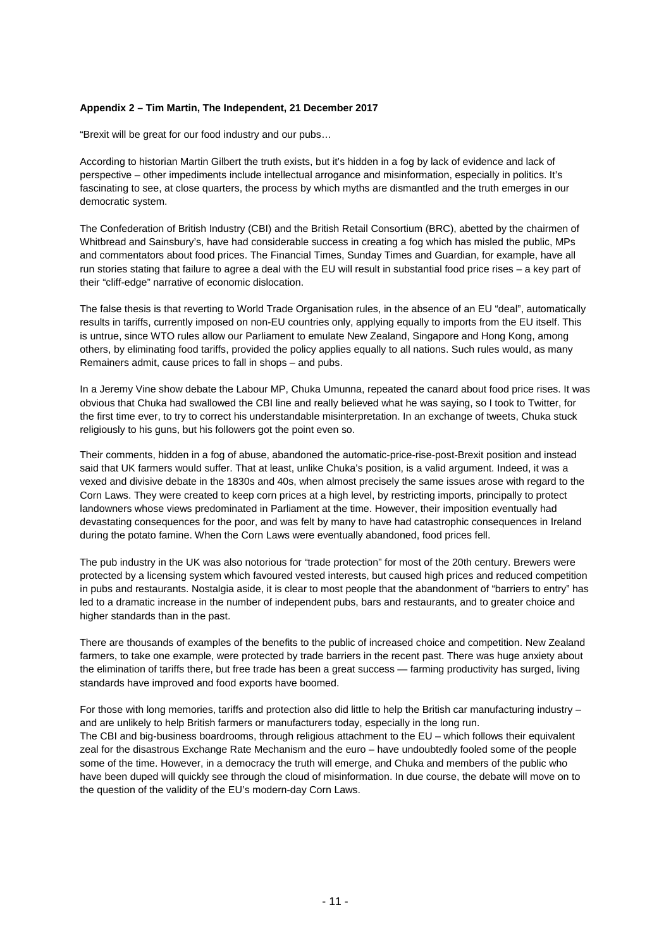# **Appendix 2 – Tim Martin, The Independent, 21 December 2017**

"Brexit will be great for our food industry and our pubs…

According to historian Martin Gilbert the truth exists, but it's hidden in a fog by lack of evidence and lack of perspective – other impediments include intellectual arrogance and misinformation, especially in politics. It's fascinating to see, at close quarters, the process by which myths are dismantled and the truth emerges in our democratic system.

The Confederation of British Industry (CBI) and the British Retail Consortium (BRC), abetted by the chairmen of Whitbread and Sainsbury's, have had considerable success in creating a fog which has misled the public, MPs and commentators about food prices. The Financial Times, Sunday Times and Guardian, for example, have all run stories stating that failure to agree a deal with the EU will result in substantial food price rises – a key part of their "cliff-edge" narrative of economic dislocation.

The false thesis is that reverting to World Trade Organisation rules, in the absence of an EU "deal", automatically results in tariffs, currently imposed on non-EU countries only, applying equally to imports from the EU itself. This is untrue, since WTO rules allow our Parliament to emulate New Zealand, Singapore and Hong Kong, among others, by eliminating food tariffs, provided the policy applies equally to all nations. Such rules would, as many Remainers admit, cause prices to fall in shops – and pubs.

In a Jeremy Vine show debate the Labour MP, Chuka Umunna, repeated the canard about food price rises. It was obvious that Chuka had swallowed the CBI line and really believed what he was saying, so I took to Twitter, for the first time ever, to try to correct his understandable misinterpretation. In an exchange of tweets, Chuka stuck religiously to his guns, but his followers got the point even so.

Their comments, hidden in a fog of abuse, abandoned the automatic-price-rise-post-Brexit position and instead said that UK farmers would suffer. That at least, unlike Chuka's position, is a valid argument. Indeed, it was a vexed and divisive debate in the 1830s and 40s, when almost precisely the same issues arose with regard to the Corn Laws. They were created to keep corn prices at a high level, by restricting imports, principally to protect landowners whose views predominated in Parliament at the time. However, their imposition eventually had devastating consequences for the poor, and was felt by many to have had catastrophic consequences in Ireland during the potato famine. When the Corn Laws were eventually abandoned, food prices fell.

The pub industry in the UK was also notorious for "trade protection" for most of the 20th century. Brewers were protected by a licensing system which favoured vested interests, but caused high prices and reduced competition in pubs and restaurants. Nostalgia aside, it is clear to most people that the abandonment of "barriers to entry" has led to a dramatic increase in the number of independent pubs, bars and restaurants, and to greater choice and higher standards than in the past.

There are thousands of examples of the benefits to the public of increased choice and competition. New Zealand farmers, to take one example, were protected by trade barriers in the recent past. There was huge anxiety about the elimination of tariffs there, but free trade has been a great success — farming productivity has surged, living standards have improved and food exports have boomed.

For those with long memories, tariffs and protection also did little to help the British car manufacturing industry – and are unlikely to help British farmers or manufacturers today, especially in the long run. The CBI and big-business boardrooms, through religious attachment to the EU – which follows their equivalent zeal for the disastrous Exchange Rate Mechanism and the euro – have undoubtedly fooled some of the people some of the time. However, in a democracy the truth will emerge, and Chuka and members of the public who have been duped will quickly see through the cloud of misinformation. In due course, the debate will move on to the question of the validity of the EU's modern-day Corn Laws.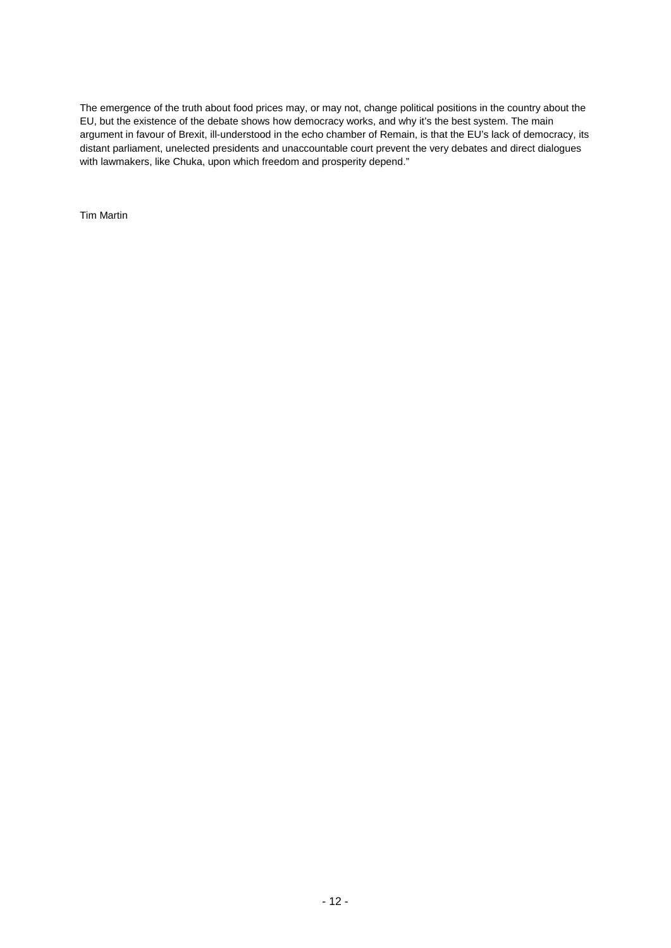The emergence of the truth about food prices may, or may not, change political positions in the country about the EU, but the existence of the debate shows how democracy works, and why it's the best system. The main argument in favour of Brexit, ill-understood in the echo chamber of Remain, is that the EU's lack of democracy, its distant parliament, unelected presidents and unaccountable court prevent the very debates and direct dialogues with lawmakers, like Chuka, upon which freedom and prosperity depend."

Tim Martin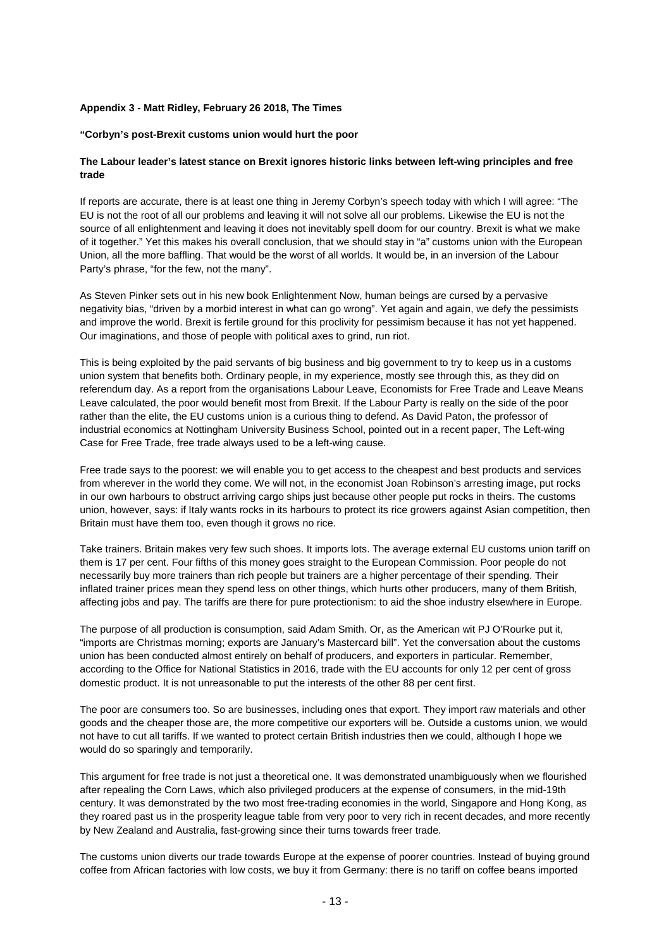# **Appendix 3 - Matt Ridley, February 26 2018, The Times**

# **"Corbyn's post-Brexit customs union would hurt the poor**

# **The Labour leader's latest stance on Brexit ignores historic links between left-wing principles and free trade**

If reports are accurate, there is at least one thing in Jeremy Corbyn's speech today with which I will agree: "The EU is not the root of all our problems and leaving it will not solve all our problems. Likewise the EU is not the source of all enlightenment and leaving it does not inevitably spell doom for our country. Brexit is what we make of it together." Yet this makes his overall conclusion, that we should stay in "a" customs union with the European Union, all the more baffling. That would be the worst of all worlds. It would be, in an inversion of the Labour Party's phrase, "for the few, not the many".

As Steven Pinker sets out in his new book Enlightenment Now, human beings are cursed by a pervasive negativity bias, "driven by a morbid interest in what can go wrong". Yet again and again, we defy the pessimists and improve the world. Brexit is fertile ground for this proclivity for pessimism because it has not yet happened. Our imaginations, and those of people with political axes to grind, run riot.

This is being exploited by the paid servants of big business and big government to try to keep us in a customs union system that benefits both. Ordinary people, in my experience, mostly see through this, as they did on referendum day. As a report from the organisations Labour Leave, Economists for Free Trade and Leave Means Leave calculated, the poor would benefit most from Brexit. If the Labour Party is really on the side of the poor rather than the elite, the EU customs union is a curious thing to defend. As David Paton, the professor of industrial economics at Nottingham University Business School, pointed out in a recent paper, The Left-wing Case for Free Trade, free trade always used to be a left-wing cause.

Free trade says to the poorest: we will enable you to get access to the cheapest and best products and services from wherever in the world they come. We will not, in the economist Joan Robinson's arresting image, put rocks in our own harbours to obstruct arriving cargo ships just because other people put rocks in theirs. The customs union, however, says: if Italy wants rocks in its harbours to protect its rice growers against Asian competition, then Britain must have them too, even though it grows no rice.

Take trainers. Britain makes very few such shoes. It imports lots. The average external EU customs union tariff on them is 17 per cent. Four fifths of this money goes straight to the European Commission. Poor people do not necessarily buy more trainers than rich people but trainers are a higher percentage of their spending. Their inflated trainer prices mean they spend less on other things, which hurts other producers, many of them British, affecting jobs and pay. The tariffs are there for pure protectionism: to aid the shoe industry elsewhere in Europe.

The purpose of all production is consumption, said Adam Smith. Or, as the American wit PJ O'Rourke put it, "imports are Christmas morning; exports are January's Mastercard bill". Yet the conversation about the customs union has been conducted almost entirely on behalf of producers, and exporters in particular. Remember, according to the Office for National Statistics in 2016, trade with the EU accounts for only 12 per cent of gross domestic product. It is not unreasonable to put the interests of the other 88 per cent first.

The poor are consumers too. So are businesses, including ones that export. They import raw materials and other goods and the cheaper those are, the more competitive our exporters will be. Outside a customs union, we would not have to cut all tariffs. If we wanted to protect certain British industries then we could, although I hope we would do so sparingly and temporarily.

This argument for free trade is not just a theoretical one. It was demonstrated unambiguously when we flourished after repealing the Corn Laws, which also privileged producers at the expense of consumers, in the mid-19th century. It was demonstrated by the two most free-trading economies in the world, Singapore and Hong Kong, as they roared past us in the prosperity league table from very poor to very rich in recent decades, and more recently by New Zealand and Australia, fast-growing since their turns towards freer trade.

The customs union diverts our trade towards Europe at the expense of poorer countries. Instead of buying ground coffee from African factories with low costs, we buy it from Germany: there is no tariff on coffee beans imported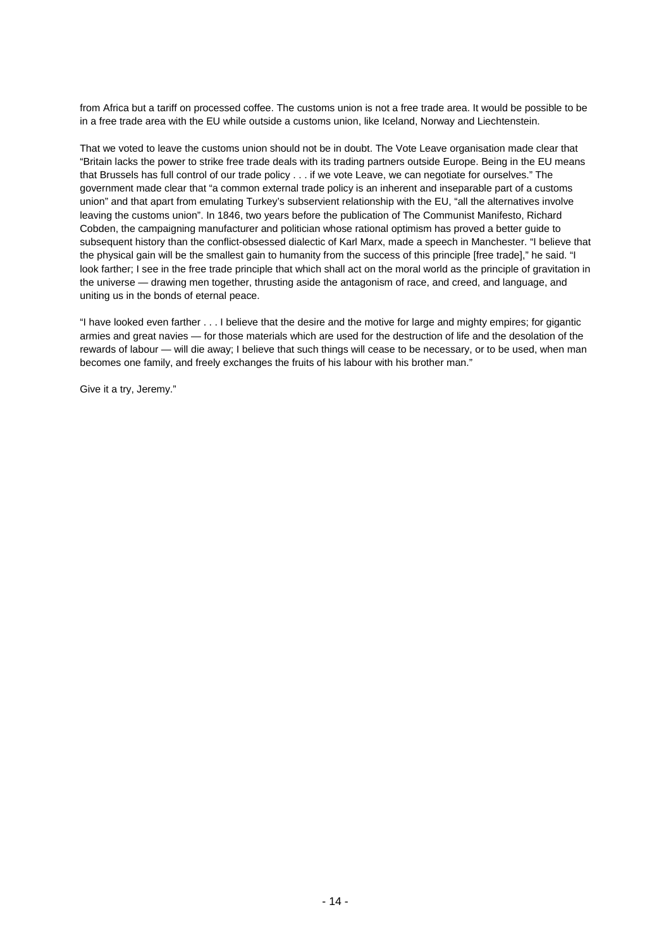from Africa but a tariff on processed coffee. The customs union is not a free trade area. It would be possible to be in a free trade area with the EU while outside a customs union, like Iceland, Norway and Liechtenstein.

That we voted to leave the customs union should not be in doubt. The Vote Leave organisation made clear that "Britain lacks the power to strike free trade deals with its trading partners outside Europe. Being in the EU means that Brussels has full control of our trade policy . . . if we vote Leave, we can negotiate for ourselves." The government made clear that "a common external trade policy is an inherent and inseparable part of a customs union" and that apart from emulating Turkey's subservient relationship with the EU, "all the alternatives involve leaving the customs union". In 1846, two years before the publication of The Communist Manifesto, Richard Cobden, the campaigning manufacturer and politician whose rational optimism has proved a better guide to subsequent history than the conflict-obsessed dialectic of Karl Marx, made a speech in Manchester. "I believe that the physical gain will be the smallest gain to humanity from the success of this principle [free trade]," he said. "I look farther; I see in the free trade principle that which shall act on the moral world as the principle of gravitation in the universe — drawing men together, thrusting aside the antagonism of race, and creed, and language, and uniting us in the bonds of eternal peace.

"I have looked even farther . . . I believe that the desire and the motive for large and mighty empires; for gigantic armies and great navies — for those materials which are used for the destruction of life and the desolation of the rewards of labour — will die away; I believe that such things will cease to be necessary, or to be used, when man becomes one family, and freely exchanges the fruits of his labour with his brother man."

Give it a try, Jeremy."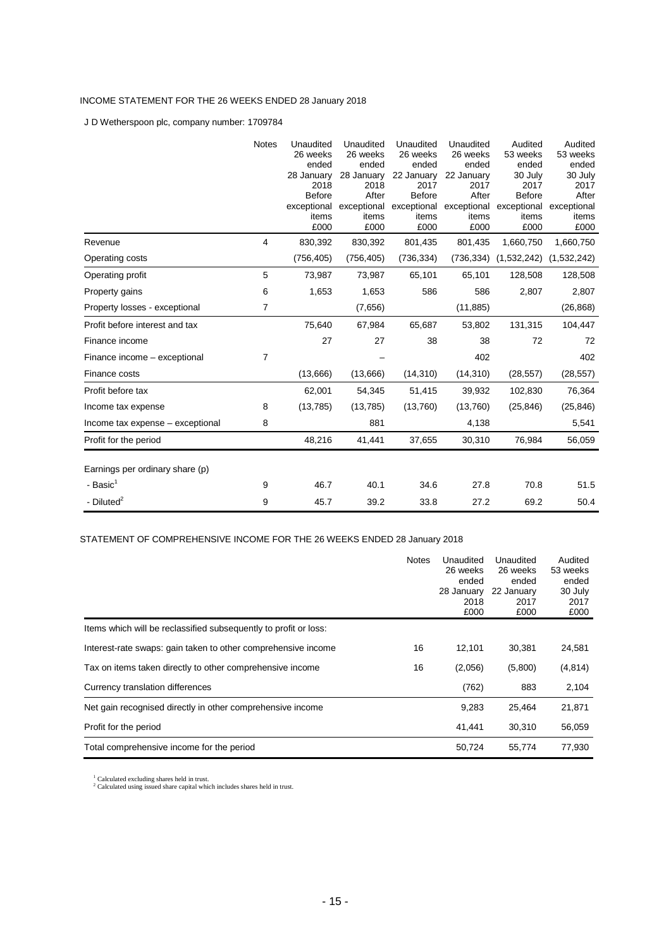# INCOME STATEMENT FOR THE 26 WEEKS ENDED 28 January 2018

J D Wetherspoon plc, company number: 1709784

|                                  | <b>Notes</b> | Unaudited<br>26 weeks<br>ended<br>28 January<br>2018<br><b>Before</b><br>exceptional<br>items<br>£000 | Unaudited<br>26 weeks<br>ended<br>28 January<br>2018<br>After<br>exceptional<br>items<br>£000 | Unaudited<br>26 weeks<br>ended<br>22 January<br>2017<br><b>Before</b><br>exceptional<br>items<br>£000 | Unaudited<br>26 weeks<br>ended<br>22 January<br>2017<br>After<br>exceptional<br>items<br>£000 | Audited<br>53 weeks<br>ended<br>30 July<br>2017<br><b>Before</b><br>exceptional<br>items<br>£000 | Audited<br>53 weeks<br>ended<br>30 July<br>2017<br>After<br>exceptional<br>items<br>£000 |
|----------------------------------|--------------|-------------------------------------------------------------------------------------------------------|-----------------------------------------------------------------------------------------------|-------------------------------------------------------------------------------------------------------|-----------------------------------------------------------------------------------------------|--------------------------------------------------------------------------------------------------|------------------------------------------------------------------------------------------|
| Revenue                          | 4            | 830,392                                                                                               | 830,392                                                                                       | 801,435                                                                                               | 801,435                                                                                       | 1,660,750                                                                                        | 1,660,750                                                                                |
| Operating costs                  |              | (756, 405)                                                                                            | (756, 405)                                                                                    | (736, 334)                                                                                            | (736, 334)                                                                                    | (1,532,242)                                                                                      | (1,532,242)                                                                              |
| Operating profit                 | 5            | 73,987                                                                                                | 73,987                                                                                        | 65,101                                                                                                | 65,101                                                                                        | 128,508                                                                                          | 128,508                                                                                  |
| Property gains                   | 6            | 1,653                                                                                                 | 1,653                                                                                         | 586                                                                                                   | 586                                                                                           | 2,807                                                                                            | 2,807                                                                                    |
| Property losses - exceptional    | 7            |                                                                                                       | (7,656)                                                                                       |                                                                                                       | (11, 885)                                                                                     |                                                                                                  | (26, 868)                                                                                |
| Profit before interest and tax   |              | 75,640                                                                                                | 67,984                                                                                        | 65,687                                                                                                | 53,802                                                                                        | 131,315                                                                                          | 104,447                                                                                  |
| Finance income                   |              | 27                                                                                                    | 27                                                                                            | 38                                                                                                    | 38                                                                                            | 72                                                                                               | 72                                                                                       |
| Finance income - exceptional     | 7            |                                                                                                       |                                                                                               |                                                                                                       | 402                                                                                           |                                                                                                  | 402                                                                                      |
| Finance costs                    |              | (13,666)                                                                                              | (13,666)                                                                                      | (14, 310)                                                                                             | (14, 310)                                                                                     | (28, 557)                                                                                        | (28, 557)                                                                                |
| Profit before tax                |              | 62,001                                                                                                | 54,345                                                                                        | 51,415                                                                                                | 39,932                                                                                        | 102,830                                                                                          | 76,364                                                                                   |
| Income tax expense               | 8            | (13, 785)                                                                                             | (13,785)                                                                                      | (13,760)                                                                                              | (13,760)                                                                                      | (25, 846)                                                                                        | (25, 846)                                                                                |
| Income tax expense - exceptional | 8            |                                                                                                       | 881                                                                                           |                                                                                                       | 4,138                                                                                         |                                                                                                  | 5,541                                                                                    |
| Profit for the period            |              | 48,216                                                                                                | 41,441                                                                                        | 37,655                                                                                                | 30,310                                                                                        | 76,984                                                                                           | 56,059                                                                                   |
| Earnings per ordinary share (p)  |              |                                                                                                       |                                                                                               |                                                                                                       |                                                                                               |                                                                                                  |                                                                                          |
| - Basic <sup>1</sup>             | 9            | 46.7                                                                                                  | 40.1                                                                                          | 34.6                                                                                                  | 27.8                                                                                          | 70.8                                                                                             | 51.5                                                                                     |
| - Diluted $2$                    | 9            | 45.7                                                                                                  | 39.2                                                                                          | 33.8                                                                                                  | 27.2                                                                                          | 69.2                                                                                             | 50.4                                                                                     |

STATEMENT OF COMPREHENSIVE INCOME FOR THE 26 WEEKS ENDED 28 January 2018

|                                                                  | <b>Notes</b> | Unaudited<br>26 weeks<br>ended<br>28 January<br>2018<br>£000 | Unaudited<br>26 weeks<br>ended<br>22 January<br>2017<br>£000 | Audited<br>53 weeks<br>ended<br>30 July<br>2017<br>£000 |
|------------------------------------------------------------------|--------------|--------------------------------------------------------------|--------------------------------------------------------------|---------------------------------------------------------|
| Items which will be reclassified subsequently to profit or loss: |              |                                                              |                                                              |                                                         |
| Interest-rate swaps: gain taken to other comprehensive income    | 16           | 12,101                                                       | 30,381                                                       | 24,581                                                  |
| Tax on items taken directly to other comprehensive income        | 16           | (2,056)                                                      | (5,800)                                                      | (4,814)                                                 |
| Currency translation differences                                 |              | (762)                                                        | 883                                                          | 2,104                                                   |
| Net gain recognised directly in other comprehensive income       |              | 9,283                                                        | 25,464                                                       | 21,871                                                  |
| Profit for the period                                            |              | 41,441                                                       | 30,310                                                       | 56,059                                                  |
| Total comprehensive income for the period                        |              | 50,724                                                       | 55,774                                                       | 77.930                                                  |

 $1$  Calculated excluding shares held in trust.<br> $2$  Calculated using issued share capital which includes shares held in trust.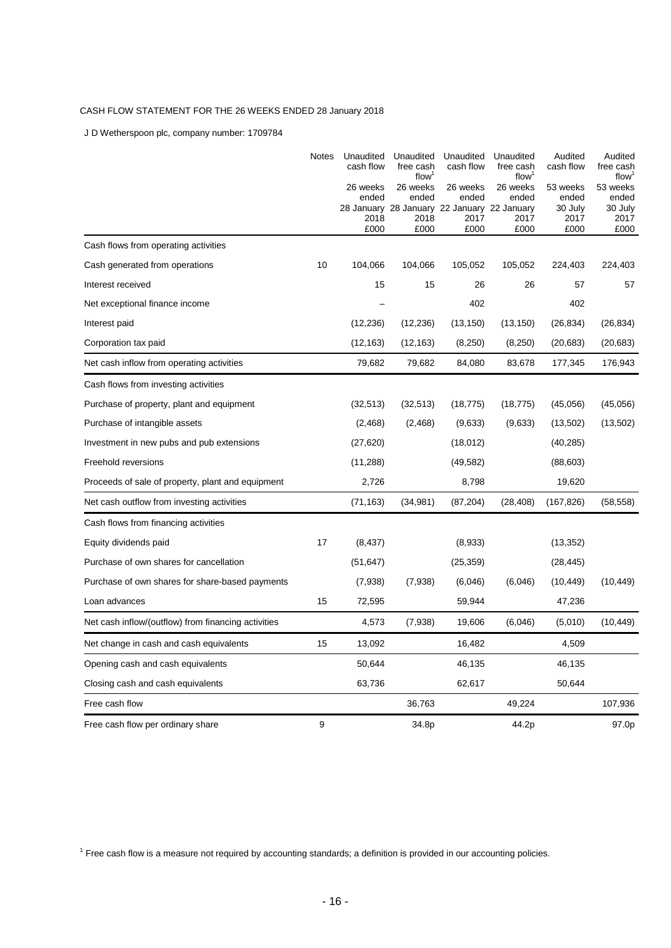# CASH FLOW STATEMENT FOR THE 26 WEEKS ENDED 28 January 2018

J D Wetherspoon plc, company number: 1709784

|                                                     | <b>Notes</b> | Unaudited<br>cash flow<br>26 weeks | Unaudited<br>free cash<br>flow <sup>1</sup><br>26 weeks | Unaudited<br>cash flow<br>26 weeks                                   | Unaudited<br>free cash<br>flow <sup>1</sup><br>26 weeks | Audited<br>cash flow<br>53 weeks | Audited<br>free cash<br>flow <sup>1</sup><br>53 weeks |
|-----------------------------------------------------|--------------|------------------------------------|---------------------------------------------------------|----------------------------------------------------------------------|---------------------------------------------------------|----------------------------------|-------------------------------------------------------|
|                                                     |              | ended<br>2018<br>£000              | ended<br>2018<br>£000                                   | ended<br>28 January 28 January 22 January 22 January<br>2017<br>£000 | ended<br>2017<br>£000                                   | ended<br>30 July<br>2017<br>£000 | ended<br>30 July<br>2017<br>£000                      |
| Cash flows from operating activities                |              |                                    |                                                         |                                                                      |                                                         |                                  |                                                       |
| Cash generated from operations                      | 10           | 104,066                            | 104,066                                                 | 105,052                                                              | 105,052                                                 | 224,403                          | 224,403                                               |
| Interest received                                   |              | 15                                 | 15                                                      | 26                                                                   | 26                                                      | 57                               | 57                                                    |
| Net exceptional finance income                      |              |                                    |                                                         | 402                                                                  |                                                         | 402                              |                                                       |
| Interest paid                                       |              | (12, 236)                          | (12, 236)                                               | (13, 150)                                                            | (13, 150)                                               | (26, 834)                        | (26, 834)                                             |
| Corporation tax paid                                |              | (12, 163)                          | (12, 163)                                               | (8,250)                                                              | (8,250)                                                 | (20, 683)                        | (20, 683)                                             |
| Net cash inflow from operating activities           |              | 79,682                             | 79,682                                                  | 84,080                                                               | 83,678                                                  | 177,345                          | 176,943                                               |
| Cash flows from investing activities                |              |                                    |                                                         |                                                                      |                                                         |                                  |                                                       |
| Purchase of property, plant and equipment           |              | (32, 513)                          | (32, 513)                                               | (18, 775)                                                            | (18, 775)                                               | (45,056)                         | (45,056)                                              |
| Purchase of intangible assets                       |              | (2, 468)                           | (2, 468)                                                | (9,633)                                                              | (9,633)                                                 | (13,502)                         | (13,502)                                              |
| Investment in new pubs and pub extensions           |              | (27, 620)                          |                                                         | (18,012)                                                             |                                                         | (40, 285)                        |                                                       |
| Freehold reversions                                 |              | (11, 288)                          |                                                         | (49, 582)                                                            |                                                         | (88, 603)                        |                                                       |
| Proceeds of sale of property, plant and equipment   |              | 2,726                              |                                                         | 8,798                                                                |                                                         | 19,620                           |                                                       |
| Net cash outflow from investing activities          |              | (71, 163)                          | (34, 981)                                               | (87, 204)                                                            | (28, 408)                                               | (167, 826)                       | (58, 558)                                             |
| Cash flows from financing activities                |              |                                    |                                                         |                                                                      |                                                         |                                  |                                                       |
| Equity dividends paid                               | 17           | (8, 437)                           |                                                         | (8,933)                                                              |                                                         | (13, 352)                        |                                                       |
| Purchase of own shares for cancellation             |              | (51,647)                           |                                                         | (25, 359)                                                            |                                                         | (28, 445)                        |                                                       |
| Purchase of own shares for share-based payments     |              | (7,938)                            | (7,938)                                                 | (6,046)                                                              | (6,046)                                                 | (10, 449)                        | (10, 449)                                             |
| Loan advances                                       | 15           | 72,595                             |                                                         | 59,944                                                               |                                                         | 47,236                           |                                                       |
| Net cash inflow/(outflow) from financing activities |              | 4,573                              | (7,938)                                                 | 19,606                                                               | (6,046)                                                 | (5,010)                          | (10, 449)                                             |
| Net change in cash and cash equivalents             | 15           | 13,092                             |                                                         | 16,482                                                               |                                                         | 4,509                            |                                                       |
| Opening cash and cash equivalents                   |              | 50,644                             |                                                         | 46,135                                                               |                                                         | 46,135                           |                                                       |
| Closing cash and cash equivalents                   |              | 63,736                             |                                                         | 62,617                                                               |                                                         | 50,644                           |                                                       |
| Free cash flow                                      |              |                                    | 36,763                                                  |                                                                      | 49,224                                                  |                                  | 107,936                                               |
| Free cash flow per ordinary share                   | 9            |                                    | 34.8p                                                   |                                                                      | 44.2p                                                   |                                  | 97.0p                                                 |

<sup>1</sup> Free cash flow is a measure not required by accounting standards; a definition is provided in our accounting policies.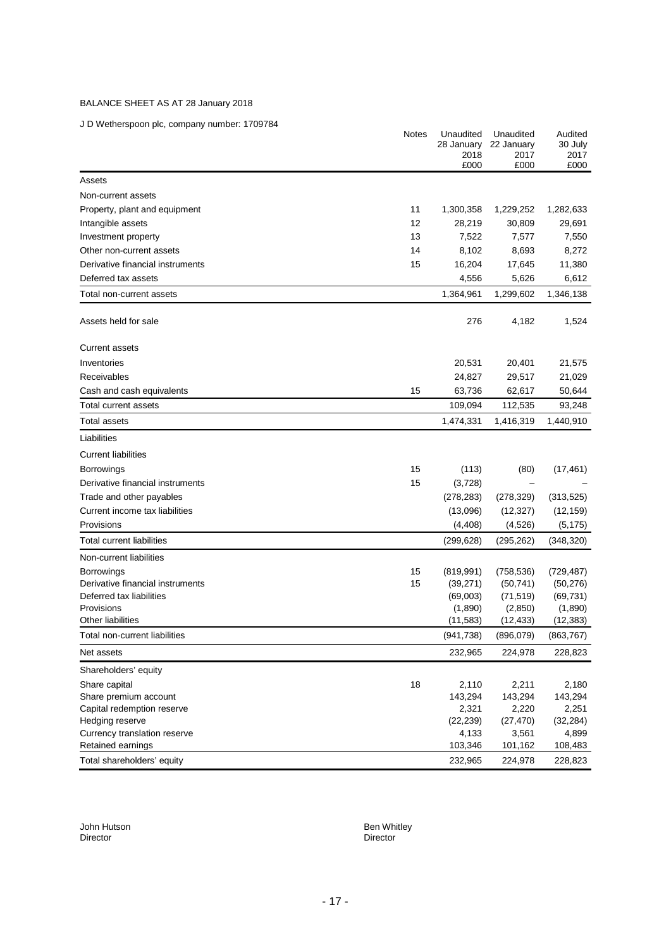# BALANCE SHEET AS AT 28 January 2018

J D Wetherspoon plc, company number: 1709784

| 2017<br>2017<br>2018<br>£000<br>£000<br>£000<br>Assets<br>Non-current assets<br>Property, plant and equipment<br>11<br>1,300,358<br>1,229,252<br>1,282,633<br>12<br>Intangible assets<br>28,219<br>30,809<br>29,691<br>13<br>7,522<br>7,577<br>7,550<br>Investment property<br>14<br>8,102<br>8,693<br>8,272<br>Other non-current assets<br>15<br>Derivative financial instruments<br>16,204<br>17,645<br>11,380<br>5,626<br>6,612<br>Deferred tax assets<br>4,556<br>1,299,602<br>1,364,961<br>1,346,138<br>Total non-current assets<br>276<br>Assets held for sale<br>4,182<br>1,524<br><b>Current assets</b><br>Inventories<br>20,531<br>20,401<br>21,575<br>Receivables<br>29,517<br>24,827<br>21,029<br>15<br>63,736<br>62,617<br>50,644<br>Cash and cash equivalents<br>109,094<br>112,535<br>93,248<br>Total current assets<br>1,416,319<br>1,440,910<br>Total assets<br>1,474,331<br>Liabilities<br><b>Current liabilities</b><br>15<br><b>Borrowings</b><br>(113)<br>(80)<br>(17, 461)<br>Derivative financial instruments<br>15<br>(3,728)<br>Trade and other payables<br>(278, 283)<br>(278, 329)<br>(313, 525)<br>Current income tax liabilities<br>(13,096)<br>(12, 327)<br>(12, 159)<br>Provisions<br>(5, 175)<br>(4, 408)<br>(4,526)<br>Total current liabilities<br>(299, 628)<br>(295, 262)<br>(348, 320)<br>Non-current liabilities<br>15<br>Borrowings<br>(819, 991)<br>(729, 487)<br>(758, 536)<br>15<br>(50, 276)<br>Derivative financial instruments<br>(39, 271)<br>(50, 741)<br>Deferred tax liabilities<br>(69, 731)<br>(69,003)<br>(71, 519)<br>Provisions<br>(1,890)<br>(2,850)<br>(1,890)<br>Other liabilities<br>(11, 583)<br>(12, 433)<br>(12, 383)<br>(941, 738)<br>(896, 079)<br>(863, 767)<br>Total non-current liabilities<br>232,965<br>224,978<br>228,823<br>Net assets<br>Shareholders' equity<br>18<br>Share capital<br>2,110<br>2,211<br>2,180<br>143,294<br>143,294<br>143,294<br>Share premium account<br>Capital redemption reserve<br>2,321<br>2,220<br>2,251<br>Hedging reserve<br>(22, 239)<br>(27, 470)<br>(32, 284)<br>Currency translation reserve<br>4,899<br>4,133<br>3,561<br>103,346<br>Retained earnings<br>101,162<br>108,483<br>Total shareholders' equity<br>232,965<br>224,978 | <b>Notes</b> | Unaudited<br>28 January | Unaudited<br>22 January | Audited<br>30 July |
|-----------------------------------------------------------------------------------------------------------------------------------------------------------------------------------------------------------------------------------------------------------------------------------------------------------------------------------------------------------------------------------------------------------------------------------------------------------------------------------------------------------------------------------------------------------------------------------------------------------------------------------------------------------------------------------------------------------------------------------------------------------------------------------------------------------------------------------------------------------------------------------------------------------------------------------------------------------------------------------------------------------------------------------------------------------------------------------------------------------------------------------------------------------------------------------------------------------------------------------------------------------------------------------------------------------------------------------------------------------------------------------------------------------------------------------------------------------------------------------------------------------------------------------------------------------------------------------------------------------------------------------------------------------------------------------------------------------------------------------------------------------------------------------------------------------------------------------------------------------------------------------------------------------------------------------------------------------------------------------------------------------------------------------------------------------------------------------------------------------------------------------------------------------------------------------------------------------------------------------------|--------------|-------------------------|-------------------------|--------------------|
|                                                                                                                                                                                                                                                                                                                                                                                                                                                                                                                                                                                                                                                                                                                                                                                                                                                                                                                                                                                                                                                                                                                                                                                                                                                                                                                                                                                                                                                                                                                                                                                                                                                                                                                                                                                                                                                                                                                                                                                                                                                                                                                                                                                                                                         |              |                         |                         |                    |
|                                                                                                                                                                                                                                                                                                                                                                                                                                                                                                                                                                                                                                                                                                                                                                                                                                                                                                                                                                                                                                                                                                                                                                                                                                                                                                                                                                                                                                                                                                                                                                                                                                                                                                                                                                                                                                                                                                                                                                                                                                                                                                                                                                                                                                         |              |                         |                         |                    |
|                                                                                                                                                                                                                                                                                                                                                                                                                                                                                                                                                                                                                                                                                                                                                                                                                                                                                                                                                                                                                                                                                                                                                                                                                                                                                                                                                                                                                                                                                                                                                                                                                                                                                                                                                                                                                                                                                                                                                                                                                                                                                                                                                                                                                                         |              |                         |                         |                    |
|                                                                                                                                                                                                                                                                                                                                                                                                                                                                                                                                                                                                                                                                                                                                                                                                                                                                                                                                                                                                                                                                                                                                                                                                                                                                                                                                                                                                                                                                                                                                                                                                                                                                                                                                                                                                                                                                                                                                                                                                                                                                                                                                                                                                                                         |              |                         |                         |                    |
|                                                                                                                                                                                                                                                                                                                                                                                                                                                                                                                                                                                                                                                                                                                                                                                                                                                                                                                                                                                                                                                                                                                                                                                                                                                                                                                                                                                                                                                                                                                                                                                                                                                                                                                                                                                                                                                                                                                                                                                                                                                                                                                                                                                                                                         |              |                         |                         |                    |
|                                                                                                                                                                                                                                                                                                                                                                                                                                                                                                                                                                                                                                                                                                                                                                                                                                                                                                                                                                                                                                                                                                                                                                                                                                                                                                                                                                                                                                                                                                                                                                                                                                                                                                                                                                                                                                                                                                                                                                                                                                                                                                                                                                                                                                         |              |                         |                         |                    |
|                                                                                                                                                                                                                                                                                                                                                                                                                                                                                                                                                                                                                                                                                                                                                                                                                                                                                                                                                                                                                                                                                                                                                                                                                                                                                                                                                                                                                                                                                                                                                                                                                                                                                                                                                                                                                                                                                                                                                                                                                                                                                                                                                                                                                                         |              |                         |                         |                    |
|                                                                                                                                                                                                                                                                                                                                                                                                                                                                                                                                                                                                                                                                                                                                                                                                                                                                                                                                                                                                                                                                                                                                                                                                                                                                                                                                                                                                                                                                                                                                                                                                                                                                                                                                                                                                                                                                                                                                                                                                                                                                                                                                                                                                                                         |              |                         |                         |                    |
|                                                                                                                                                                                                                                                                                                                                                                                                                                                                                                                                                                                                                                                                                                                                                                                                                                                                                                                                                                                                                                                                                                                                                                                                                                                                                                                                                                                                                                                                                                                                                                                                                                                                                                                                                                                                                                                                                                                                                                                                                                                                                                                                                                                                                                         |              |                         |                         |                    |
|                                                                                                                                                                                                                                                                                                                                                                                                                                                                                                                                                                                                                                                                                                                                                                                                                                                                                                                                                                                                                                                                                                                                                                                                                                                                                                                                                                                                                                                                                                                                                                                                                                                                                                                                                                                                                                                                                                                                                                                                                                                                                                                                                                                                                                         |              |                         |                         |                    |
|                                                                                                                                                                                                                                                                                                                                                                                                                                                                                                                                                                                                                                                                                                                                                                                                                                                                                                                                                                                                                                                                                                                                                                                                                                                                                                                                                                                                                                                                                                                                                                                                                                                                                                                                                                                                                                                                                                                                                                                                                                                                                                                                                                                                                                         |              |                         |                         |                    |
|                                                                                                                                                                                                                                                                                                                                                                                                                                                                                                                                                                                                                                                                                                                                                                                                                                                                                                                                                                                                                                                                                                                                                                                                                                                                                                                                                                                                                                                                                                                                                                                                                                                                                                                                                                                                                                                                                                                                                                                                                                                                                                                                                                                                                                         |              |                         |                         |                    |
|                                                                                                                                                                                                                                                                                                                                                                                                                                                                                                                                                                                                                                                                                                                                                                                                                                                                                                                                                                                                                                                                                                                                                                                                                                                                                                                                                                                                                                                                                                                                                                                                                                                                                                                                                                                                                                                                                                                                                                                                                                                                                                                                                                                                                                         |              |                         |                         |                    |
|                                                                                                                                                                                                                                                                                                                                                                                                                                                                                                                                                                                                                                                                                                                                                                                                                                                                                                                                                                                                                                                                                                                                                                                                                                                                                                                                                                                                                                                                                                                                                                                                                                                                                                                                                                                                                                                                                                                                                                                                                                                                                                                                                                                                                                         |              |                         |                         |                    |
|                                                                                                                                                                                                                                                                                                                                                                                                                                                                                                                                                                                                                                                                                                                                                                                                                                                                                                                                                                                                                                                                                                                                                                                                                                                                                                                                                                                                                                                                                                                                                                                                                                                                                                                                                                                                                                                                                                                                                                                                                                                                                                                                                                                                                                         |              |                         |                         |                    |
|                                                                                                                                                                                                                                                                                                                                                                                                                                                                                                                                                                                                                                                                                                                                                                                                                                                                                                                                                                                                                                                                                                                                                                                                                                                                                                                                                                                                                                                                                                                                                                                                                                                                                                                                                                                                                                                                                                                                                                                                                                                                                                                                                                                                                                         |              |                         |                         |                    |
|                                                                                                                                                                                                                                                                                                                                                                                                                                                                                                                                                                                                                                                                                                                                                                                                                                                                                                                                                                                                                                                                                                                                                                                                                                                                                                                                                                                                                                                                                                                                                                                                                                                                                                                                                                                                                                                                                                                                                                                                                                                                                                                                                                                                                                         |              |                         |                         |                    |
|                                                                                                                                                                                                                                                                                                                                                                                                                                                                                                                                                                                                                                                                                                                                                                                                                                                                                                                                                                                                                                                                                                                                                                                                                                                                                                                                                                                                                                                                                                                                                                                                                                                                                                                                                                                                                                                                                                                                                                                                                                                                                                                                                                                                                                         |              |                         |                         |                    |
|                                                                                                                                                                                                                                                                                                                                                                                                                                                                                                                                                                                                                                                                                                                                                                                                                                                                                                                                                                                                                                                                                                                                                                                                                                                                                                                                                                                                                                                                                                                                                                                                                                                                                                                                                                                                                                                                                                                                                                                                                                                                                                                                                                                                                                         |              |                         |                         |                    |
|                                                                                                                                                                                                                                                                                                                                                                                                                                                                                                                                                                                                                                                                                                                                                                                                                                                                                                                                                                                                                                                                                                                                                                                                                                                                                                                                                                                                                                                                                                                                                                                                                                                                                                                                                                                                                                                                                                                                                                                                                                                                                                                                                                                                                                         |              |                         |                         |                    |
|                                                                                                                                                                                                                                                                                                                                                                                                                                                                                                                                                                                                                                                                                                                                                                                                                                                                                                                                                                                                                                                                                                                                                                                                                                                                                                                                                                                                                                                                                                                                                                                                                                                                                                                                                                                                                                                                                                                                                                                                                                                                                                                                                                                                                                         |              |                         |                         |                    |
|                                                                                                                                                                                                                                                                                                                                                                                                                                                                                                                                                                                                                                                                                                                                                                                                                                                                                                                                                                                                                                                                                                                                                                                                                                                                                                                                                                                                                                                                                                                                                                                                                                                                                                                                                                                                                                                                                                                                                                                                                                                                                                                                                                                                                                         |              |                         |                         |                    |
|                                                                                                                                                                                                                                                                                                                                                                                                                                                                                                                                                                                                                                                                                                                                                                                                                                                                                                                                                                                                                                                                                                                                                                                                                                                                                                                                                                                                                                                                                                                                                                                                                                                                                                                                                                                                                                                                                                                                                                                                                                                                                                                                                                                                                                         |              |                         |                         |                    |
|                                                                                                                                                                                                                                                                                                                                                                                                                                                                                                                                                                                                                                                                                                                                                                                                                                                                                                                                                                                                                                                                                                                                                                                                                                                                                                                                                                                                                                                                                                                                                                                                                                                                                                                                                                                                                                                                                                                                                                                                                                                                                                                                                                                                                                         |              |                         |                         |                    |
|                                                                                                                                                                                                                                                                                                                                                                                                                                                                                                                                                                                                                                                                                                                                                                                                                                                                                                                                                                                                                                                                                                                                                                                                                                                                                                                                                                                                                                                                                                                                                                                                                                                                                                                                                                                                                                                                                                                                                                                                                                                                                                                                                                                                                                         |              |                         |                         |                    |
|                                                                                                                                                                                                                                                                                                                                                                                                                                                                                                                                                                                                                                                                                                                                                                                                                                                                                                                                                                                                                                                                                                                                                                                                                                                                                                                                                                                                                                                                                                                                                                                                                                                                                                                                                                                                                                                                                                                                                                                                                                                                                                                                                                                                                                         |              |                         |                         |                    |
|                                                                                                                                                                                                                                                                                                                                                                                                                                                                                                                                                                                                                                                                                                                                                                                                                                                                                                                                                                                                                                                                                                                                                                                                                                                                                                                                                                                                                                                                                                                                                                                                                                                                                                                                                                                                                                                                                                                                                                                                                                                                                                                                                                                                                                         |              |                         |                         |                    |
|                                                                                                                                                                                                                                                                                                                                                                                                                                                                                                                                                                                                                                                                                                                                                                                                                                                                                                                                                                                                                                                                                                                                                                                                                                                                                                                                                                                                                                                                                                                                                                                                                                                                                                                                                                                                                                                                                                                                                                                                                                                                                                                                                                                                                                         |              |                         |                         |                    |
|                                                                                                                                                                                                                                                                                                                                                                                                                                                                                                                                                                                                                                                                                                                                                                                                                                                                                                                                                                                                                                                                                                                                                                                                                                                                                                                                                                                                                                                                                                                                                                                                                                                                                                                                                                                                                                                                                                                                                                                                                                                                                                                                                                                                                                         |              |                         |                         |                    |
|                                                                                                                                                                                                                                                                                                                                                                                                                                                                                                                                                                                                                                                                                                                                                                                                                                                                                                                                                                                                                                                                                                                                                                                                                                                                                                                                                                                                                                                                                                                                                                                                                                                                                                                                                                                                                                                                                                                                                                                                                                                                                                                                                                                                                                         |              |                         |                         |                    |
|                                                                                                                                                                                                                                                                                                                                                                                                                                                                                                                                                                                                                                                                                                                                                                                                                                                                                                                                                                                                                                                                                                                                                                                                                                                                                                                                                                                                                                                                                                                                                                                                                                                                                                                                                                                                                                                                                                                                                                                                                                                                                                                                                                                                                                         |              |                         |                         |                    |
|                                                                                                                                                                                                                                                                                                                                                                                                                                                                                                                                                                                                                                                                                                                                                                                                                                                                                                                                                                                                                                                                                                                                                                                                                                                                                                                                                                                                                                                                                                                                                                                                                                                                                                                                                                                                                                                                                                                                                                                                                                                                                                                                                                                                                                         |              |                         |                         |                    |
|                                                                                                                                                                                                                                                                                                                                                                                                                                                                                                                                                                                                                                                                                                                                                                                                                                                                                                                                                                                                                                                                                                                                                                                                                                                                                                                                                                                                                                                                                                                                                                                                                                                                                                                                                                                                                                                                                                                                                                                                                                                                                                                                                                                                                                         |              |                         |                         |                    |
|                                                                                                                                                                                                                                                                                                                                                                                                                                                                                                                                                                                                                                                                                                                                                                                                                                                                                                                                                                                                                                                                                                                                                                                                                                                                                                                                                                                                                                                                                                                                                                                                                                                                                                                                                                                                                                                                                                                                                                                                                                                                                                                                                                                                                                         |              |                         |                         |                    |
|                                                                                                                                                                                                                                                                                                                                                                                                                                                                                                                                                                                                                                                                                                                                                                                                                                                                                                                                                                                                                                                                                                                                                                                                                                                                                                                                                                                                                                                                                                                                                                                                                                                                                                                                                                                                                                                                                                                                                                                                                                                                                                                                                                                                                                         |              |                         |                         |                    |
|                                                                                                                                                                                                                                                                                                                                                                                                                                                                                                                                                                                                                                                                                                                                                                                                                                                                                                                                                                                                                                                                                                                                                                                                                                                                                                                                                                                                                                                                                                                                                                                                                                                                                                                                                                                                                                                                                                                                                                                                                                                                                                                                                                                                                                         |              |                         |                         |                    |
|                                                                                                                                                                                                                                                                                                                                                                                                                                                                                                                                                                                                                                                                                                                                                                                                                                                                                                                                                                                                                                                                                                                                                                                                                                                                                                                                                                                                                                                                                                                                                                                                                                                                                                                                                                                                                                                                                                                                                                                                                                                                                                                                                                                                                                         |              |                         |                         |                    |
|                                                                                                                                                                                                                                                                                                                                                                                                                                                                                                                                                                                                                                                                                                                                                                                                                                                                                                                                                                                                                                                                                                                                                                                                                                                                                                                                                                                                                                                                                                                                                                                                                                                                                                                                                                                                                                                                                                                                                                                                                                                                                                                                                                                                                                         |              |                         |                         |                    |
|                                                                                                                                                                                                                                                                                                                                                                                                                                                                                                                                                                                                                                                                                                                                                                                                                                                                                                                                                                                                                                                                                                                                                                                                                                                                                                                                                                                                                                                                                                                                                                                                                                                                                                                                                                                                                                                                                                                                                                                                                                                                                                                                                                                                                                         |              |                         |                         |                    |
|                                                                                                                                                                                                                                                                                                                                                                                                                                                                                                                                                                                                                                                                                                                                                                                                                                                                                                                                                                                                                                                                                                                                                                                                                                                                                                                                                                                                                                                                                                                                                                                                                                                                                                                                                                                                                                                                                                                                                                                                                                                                                                                                                                                                                                         |              |                         |                         |                    |
|                                                                                                                                                                                                                                                                                                                                                                                                                                                                                                                                                                                                                                                                                                                                                                                                                                                                                                                                                                                                                                                                                                                                                                                                                                                                                                                                                                                                                                                                                                                                                                                                                                                                                                                                                                                                                                                                                                                                                                                                                                                                                                                                                                                                                                         |              |                         |                         | 228,823            |

Director Director

John Hutson Ben Whitley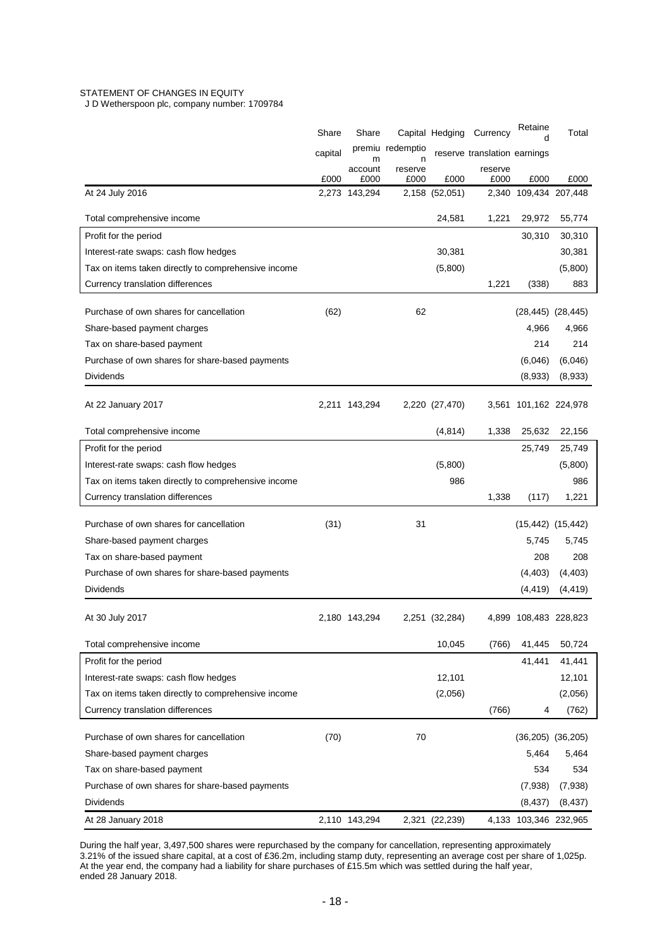# STATEMENT OF CHANGES IN EQUITY

J D Wetherspoon plc, company number: 1709784

|                                                     | Share   | Share                 |                  | Capital Hedging | Currency                     | Retaine<br>d                  | Total    |  |
|-----------------------------------------------------|---------|-----------------------|------------------|-----------------|------------------------------|-------------------------------|----------|--|
|                                                     | capital |                       | premiu redemptio |                 | reserve translation earnings |                               |          |  |
|                                                     |         | m<br>account          | n<br>reserve     |                 | reserve                      |                               |          |  |
| At 24 July 2016                                     | £000    | £000<br>2,273 143,294 | £000             | £000            | £000                         | £000<br>2,340 109,434 207,448 | £000     |  |
|                                                     |         |                       |                  | 2,158 (52,051)  |                              |                               |          |  |
| Total comprehensive income                          |         |                       |                  | 24,581          | 1,221                        | 29,972                        | 55,774   |  |
| Profit for the period                               |         |                       |                  |                 |                              | 30,310                        | 30,310   |  |
| Interest-rate swaps: cash flow hedges               |         |                       |                  | 30,381          |                              |                               | 30,381   |  |
| Tax on items taken directly to comprehensive income |         |                       |                  | (5,800)         |                              |                               | (5,800)  |  |
| Currency translation differences                    |         |                       |                  |                 | 1,221                        | (338)                         | 883      |  |
| Purchase of own shares for cancellation             | (62)    |                       | 62               |                 |                              | $(28, 445)$ $(28, 445)$       |          |  |
| Share-based payment charges                         |         |                       |                  |                 |                              | 4,966                         | 4,966    |  |
| Tax on share-based payment                          |         |                       |                  |                 |                              | 214                           | 214      |  |
| Purchase of own shares for share-based payments     |         |                       |                  |                 |                              | (6,046)                       | (6,046)  |  |
| Dividends                                           |         |                       |                  |                 |                              |                               |          |  |
|                                                     |         |                       |                  |                 |                              | (8,933)                       | (8,933)  |  |
| At 22 January 2017                                  |         | 2,211 143,294         |                  | 2,220 (27,470)  | 3,561                        | 101,162 224,978               |          |  |
|                                                     |         |                       |                  |                 |                              |                               |          |  |
| Total comprehensive income                          |         |                       |                  | (4, 814)        | 1,338                        | 25,632                        | 22,156   |  |
| Profit for the period                               |         |                       |                  |                 |                              | 25,749                        | 25,749   |  |
| Interest-rate swaps: cash flow hedges               |         |                       |                  | (5,800)         |                              |                               | (5,800)  |  |
| Tax on items taken directly to comprehensive income |         |                       |                  | 986             |                              |                               | 986      |  |
| Currency translation differences                    |         |                       |                  |                 | 1,338                        | (117)                         | 1,221    |  |
| Purchase of own shares for cancellation             | (31)    |                       | 31               |                 |                              | $(15, 442)$ $(15, 442)$       |          |  |
| Share-based payment charges                         |         |                       |                  |                 |                              | 5,745                         | 5,745    |  |
| Tax on share-based payment                          |         |                       |                  |                 |                              | 208                           | 208      |  |
| Purchase of own shares for share-based payments     |         |                       |                  |                 |                              | (4, 403)                      | (4, 403) |  |
| Dividends                                           |         |                       |                  |                 |                              | (4, 419)                      | (4, 419) |  |
|                                                     |         |                       |                  |                 |                              |                               |          |  |
| At 30 July 2017                                     |         | 2,180 143,294         |                  | 2,251 (32,284)  |                              | 4,899 108,483 228,823         |          |  |
| Total comprehensive income                          |         |                       |                  | 10,045          | (766)                        | 41,445                        | 50,724   |  |
| Profit for the period                               |         |                       |                  |                 |                              | 41,441                        | 41,441   |  |
| Interest-rate swaps: cash flow hedges               |         |                       |                  | 12,101          |                              |                               | 12,101   |  |
| Tax on items taken directly to comprehensive income |         |                       |                  | (2,056)         |                              |                               | (2,056)  |  |
| Currency translation differences                    |         |                       |                  |                 | (766)                        | 4                             | (762)    |  |
|                                                     |         |                       |                  |                 |                              |                               |          |  |
| Purchase of own shares for cancellation             | (70)    |                       | 70               |                 |                              | $(36,205)$ $(36,205)$         |          |  |
| Share-based payment charges                         |         |                       |                  |                 |                              | 5,464                         | 5,464    |  |
| Tax on share-based payment                          |         |                       |                  |                 |                              | 534                           | 534      |  |
| Purchase of own shares for share-based payments     |         |                       |                  |                 |                              | (7,938)                       | (7,938)  |  |
| <b>Dividends</b>                                    |         |                       |                  |                 |                              | (8, 437)                      | (8, 437) |  |
| At 28 January 2018                                  |         | 2,110 143,294         |                  | 2,321 (22,239)  |                              | 4,133 103,346 232,965         |          |  |

During the half year, 3,497,500 shares were repurchased by the company for cancellation, representing approximately 3.21% of the issued share capital, at a cost of £36.2m, including stamp duty, representing an average cost per share of 1,025p. At the year end, the company had a liability for share purchases of £15.5m which was settled during the half year, ended 28 January 2018.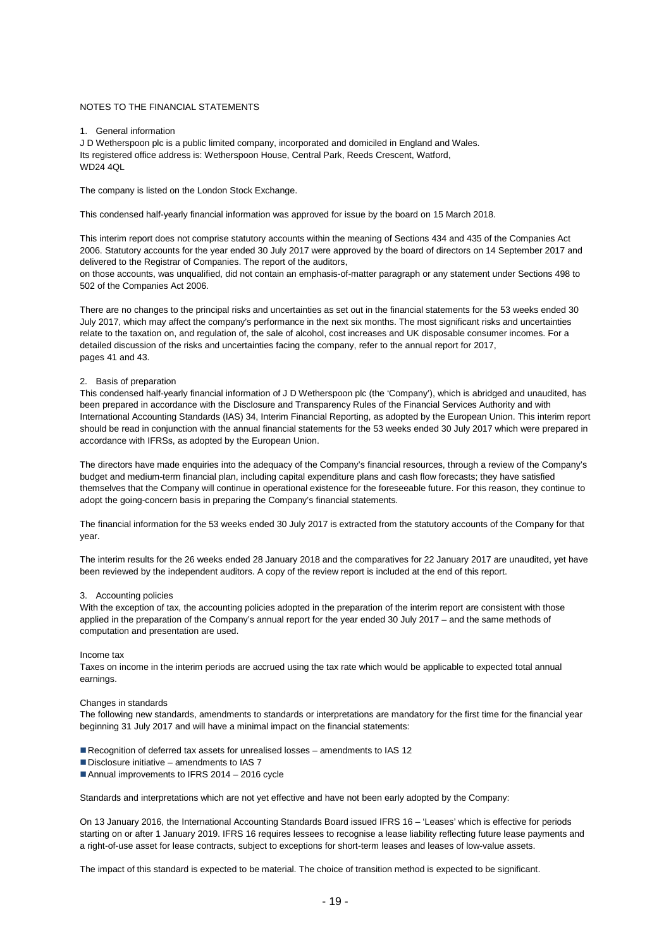## NOTES TO THE FINANCIAL STATEMENTS

## 1. General information

J D Wetherspoon plc is a public limited company, incorporated and domiciled in England and Wales. Its registered office address is: Wetherspoon House, Central Park, Reeds Crescent, Watford, WD24 4QL

The company is listed on the London Stock Exchange.

This condensed half-yearly financial information was approved for issue by the board on 15 March 2018.

This interim report does not comprise statutory accounts within the meaning of Sections 434 and 435 of the Companies Act 2006. Statutory accounts for the year ended 30 July 2017 were approved by the board of directors on 14 September 2017 and delivered to the Registrar of Companies. The report of the auditors,

on those accounts, was unqualified, did not contain an emphasis-of-matter paragraph or any statement under Sections 498 to 502 of the Companies Act 2006.

There are no changes to the principal risks and uncertainties as set out in the financial statements for the 53 weeks ended 30 July 2017, which may affect the company's performance in the next six months. The most significant risks and uncertainties relate to the taxation on, and regulation of, the sale of alcohol, cost increases and UK disposable consumer incomes. For a detailed discussion of the risks and uncertainties facing the company, refer to the annual report for 2017, pages 41 and 43.

## 2. Basis of preparation

This condensed half-yearly financial information of J D Wetherspoon plc (the 'Company'), which is abridged and unaudited, has been prepared in accordance with the Disclosure and Transparency Rules of the Financial Services Authority and with International Accounting Standards (IAS) 34, Interim Financial Reporting, as adopted by the European Union. This interim report should be read in conjunction with the annual financial statements for the 53 weeks ended 30 July 2017 which were prepared in accordance with IFRSs, as adopted by the European Union.

The directors have made enquiries into the adequacy of the Company's financial resources, through a review of the Company's budget and medium-term financial plan, including capital expenditure plans and cash flow forecasts; they have satisfied themselves that the Company will continue in operational existence for the foreseeable future. For this reason, they continue to adopt the going-concern basis in preparing the Company's financial statements.

The financial information for the 53 weeks ended 30 July 2017 is extracted from the statutory accounts of the Company for that year.

The interim results for the 26 weeks ended 28 January 2018 and the comparatives for 22 January 2017 are unaudited, yet have been reviewed by the independent auditors. A copy of the review report is included at the end of this report.

## 3. Accounting policies

With the exception of tax, the accounting policies adopted in the preparation of the interim report are consistent with those applied in the preparation of the Company's annual report for the year ended 30 July 2017 – and the same methods of computation and presentation are used.

#### Income tax

Taxes on income in the interim periods are accrued using the tax rate which would be applicable to expected total annual earnings.

#### Changes in standards

The following new standards, amendments to standards or interpretations are mandatory for the first time for the financial year beginning 31 July 2017 and will have a minimal impact on the financial statements:

Recognition of deferred tax assets for unrealised losses – amendments to IAS 12

- $\blacksquare$  Disclosure initiative amendments to IAS 7
- Annual improvements to IFRS 2014 2016 cycle

Standards and interpretations which are not yet effective and have not been early adopted by the Company:

On 13 January 2016, the International Accounting Standards Board issued IFRS 16 – 'Leases' which is effective for periods starting on or after 1 January 2019. IFRS 16 requires lessees to recognise a lease liability reflecting future lease payments and a right-of-use asset for lease contracts, subject to exceptions for short-term leases and leases of low-value assets.

The impact of this standard is expected to be material. The choice of transition method is expected to be significant.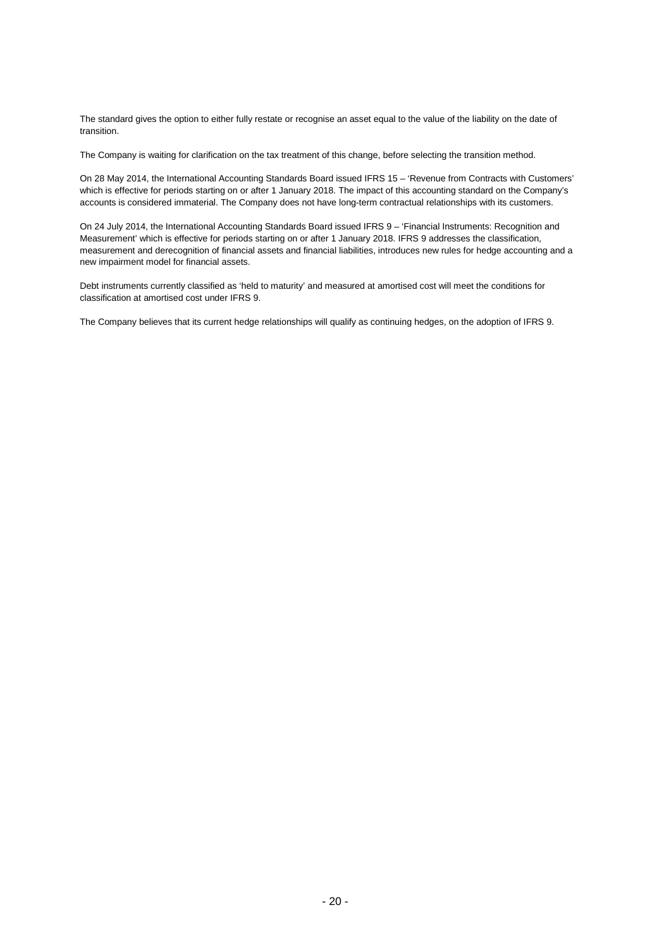The standard gives the option to either fully restate or recognise an asset equal to the value of the liability on the date of transition.

The Company is waiting for clarification on the tax treatment of this change, before selecting the transition method.

On 28 May 2014, the International Accounting Standards Board issued IFRS 15 – 'Revenue from Contracts with Customers' which is effective for periods starting on or after 1 January 2018. The impact of this accounting standard on the Company's accounts is considered immaterial. The Company does not have long-term contractual relationships with its customers.

On 24 July 2014, the International Accounting Standards Board issued IFRS 9 – 'Financial Instruments: Recognition and Measurement' which is effective for periods starting on or after 1 January 2018. IFRS 9 addresses the classification, measurement and derecognition of financial assets and financial liabilities, introduces new rules for hedge accounting and a new impairment model for financial assets.

Debt instruments currently classified as 'held to maturity' and measured at amortised cost will meet the conditions for classification at amortised cost under IFRS 9.

The Company believes that its current hedge relationships will qualify as continuing hedges, on the adoption of IFRS 9.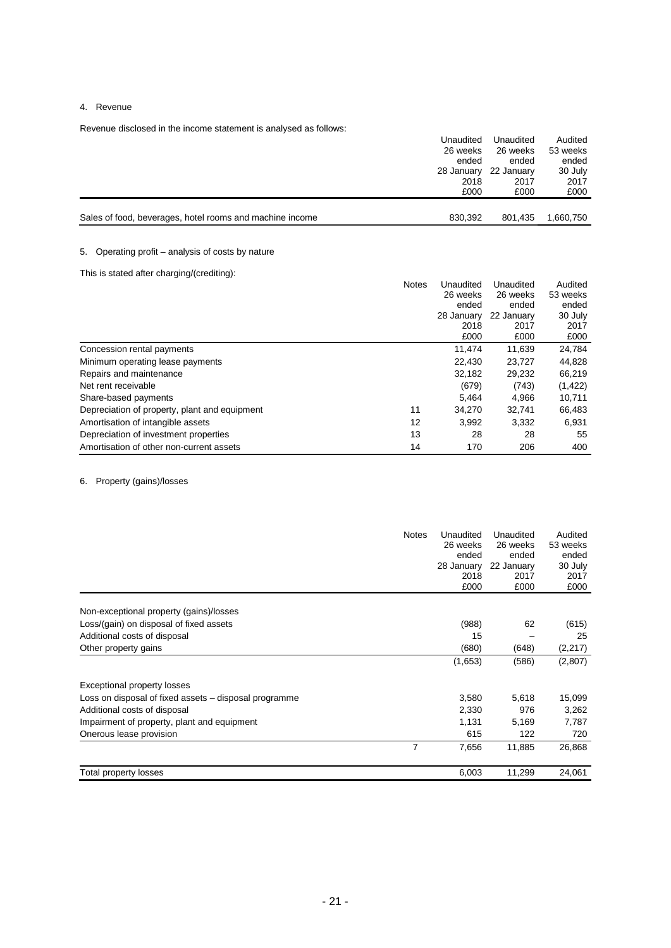# 4. Revenue

Revenue disclosed in the income statement is analysed as follows:

| Sales of food, beverages, hotel rooms and machine income | 830.392    | 801.435    | 1,660,750 |
|----------------------------------------------------------|------------|------------|-----------|
|                                                          |            |            |           |
|                                                          | £000       | £000       | £000      |
|                                                          | 2018       | 2017       | 2017      |
|                                                          | 28 January | 22 January | 30 July   |
|                                                          | ended      | ended      | ended     |
|                                                          | 26 weeks   | 26 weeks   | 53 weeks  |
|                                                          | Unaudited  | Unaudited  | Audited   |

# 5. Operating profit – analysis of costs by nature

This is stated after charging/(crediting):

|                                               | <b>Notes</b> | Unaudited  | Unaudited  | Audited  |
|-----------------------------------------------|--------------|------------|------------|----------|
|                                               |              | 26 weeks   | 26 weeks   | 53 weeks |
|                                               |              | ended      | ended      | ended    |
|                                               |              | 28 January | 22 January | 30 July  |
|                                               |              | 2018       | 2017       | 2017     |
|                                               |              | £000       | £000       | £000     |
| Concession rental payments                    |              | 11.474     | 11,639     | 24,784   |
| Minimum operating lease payments              |              | 22,430     | 23,727     | 44,828   |
| Repairs and maintenance                       |              | 32.182     | 29,232     | 66,219   |
| Net rent receivable                           |              | (679)      | (743)      | (1, 422) |
| Share-based payments                          |              | 5.464      | 4.966      | 10,711   |
| Depreciation of property, plant and equipment | 11           | 34,270     | 32.741     | 66,483   |
| Amortisation of intangible assets             | 12           | 3,992      | 3,332      | 6,931    |
| Depreciation of investment properties         | 13           | 28         | 28         | 55       |
| Amortisation of other non-current assets      | 14           | 170        | 206        | 400      |

# 6. Property (gains)/losses

|                                                       | <b>Notes</b> | Unaudited<br>26 weeks<br>ended<br>28 January<br>2018<br>£000 | Unaudited<br>26 weeks<br>ended<br>22 January<br>2017<br>£000 | Audited<br>53 weeks<br>ended<br>30 July<br>2017<br>£000 |
|-------------------------------------------------------|--------------|--------------------------------------------------------------|--------------------------------------------------------------|---------------------------------------------------------|
| Non-exceptional property (gains)/losses               |              |                                                              |                                                              |                                                         |
| Loss/(gain) on disposal of fixed assets               |              | (988)                                                        | 62                                                           | (615)                                                   |
| Additional costs of disposal                          |              | 15                                                           |                                                              | 25                                                      |
| Other property gains                                  |              | (680)                                                        | (648)                                                        | (2, 217)                                                |
|                                                       |              | (1,653)                                                      | (586)                                                        | (2,807)                                                 |
| Exceptional property losses                           |              |                                                              |                                                              |                                                         |
| Loss on disposal of fixed assets – disposal programme |              | 3,580                                                        | 5,618                                                        | 15,099                                                  |
| Additional costs of disposal                          |              | 2,330                                                        | 976                                                          | 3,262                                                   |
| Impairment of property, plant and equipment           |              | 1,131                                                        | 5,169                                                        | 7,787                                                   |
| Onerous lease provision                               |              | 615                                                          | 122                                                          | 720                                                     |
|                                                       | 7            | 7,656                                                        | 11,885                                                       | 26,868                                                  |
| Total property losses                                 |              | 6,003                                                        | 11,299                                                       | 24,061                                                  |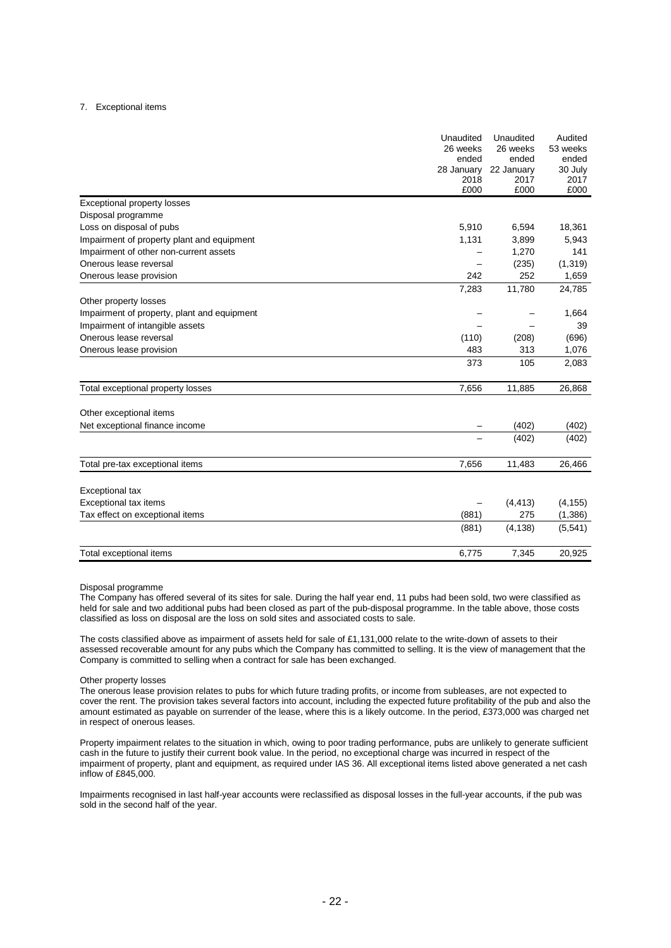## 7. Exceptional items

|                                             | Unaudited<br>26 weeks<br>ended<br>28 January<br>2018<br>£000 | Unaudited<br>26 weeks<br>ended<br>22 January<br>2017<br>£000 | Audited<br>53 weeks<br>ended<br>30 July<br>2017<br>£000 |
|---------------------------------------------|--------------------------------------------------------------|--------------------------------------------------------------|---------------------------------------------------------|
| Exceptional property losses                 |                                                              |                                                              |                                                         |
| Disposal programme                          |                                                              |                                                              |                                                         |
| Loss on disposal of pubs                    | 5,910                                                        | 6,594                                                        | 18,361                                                  |
| Impairment of property plant and equipment  | 1,131                                                        | 3,899                                                        | 5,943                                                   |
| Impairment of other non-current assets      |                                                              | 1,270                                                        | 141                                                     |
| Onerous lease reversal                      |                                                              | (235)                                                        | (1, 319)                                                |
| Onerous lease provision                     | 242                                                          | 252                                                          | 1,659                                                   |
|                                             | 7,283                                                        | 11,780                                                       | 24,785                                                  |
| Other property losses                       |                                                              |                                                              |                                                         |
| Impairment of property, plant and equipment |                                                              |                                                              | 1,664                                                   |
| Impairment of intangible assets             |                                                              |                                                              | 39                                                      |
| Onerous lease reversal                      | (110)                                                        | (208)                                                        | (696)                                                   |
| Onerous lease provision                     | 483                                                          | 313                                                          | 1,076                                                   |
|                                             | 373                                                          | 105                                                          | 2,083                                                   |
| Total exceptional property losses           | 7,656                                                        | 11,885                                                       | 26,868                                                  |
| Other exceptional items                     |                                                              |                                                              |                                                         |
| Net exceptional finance income              |                                                              | (402)                                                        | (402)                                                   |
|                                             |                                                              | (402)                                                        | (402)                                                   |
| Total pre-tax exceptional items             | 7,656                                                        | 11,483                                                       | 26,466                                                  |
| Exceptional tax                             |                                                              |                                                              |                                                         |
| Exceptional tax items                       |                                                              | (4, 413)                                                     | (4, 155)                                                |
| Tax effect on exceptional items             | (881)                                                        | 275                                                          | (1, 386)                                                |
|                                             | (881)                                                        | (4, 138)                                                     | (5, 541)                                                |
|                                             |                                                              |                                                              |                                                         |
| Total exceptional items                     | 6,775                                                        | 7,345                                                        | 20,925                                                  |

#### Disposal programme

The Company has offered several of its sites for sale. During the half year end, 11 pubs had been sold, two were classified as held for sale and two additional pubs had been closed as part of the pub-disposal programme. In the table above, those costs classified as loss on disposal are the loss on sold sites and associated costs to sale.

The costs classified above as impairment of assets held for sale of £1,131,000 relate to the write-down of assets to their assessed recoverable amount for any pubs which the Company has committed to selling. It is the view of management that the Company is committed to selling when a contract for sale has been exchanged.

#### Other property losses

The onerous lease provision relates to pubs for which future trading profits, or income from subleases, are not expected to cover the rent. The provision takes several factors into account, including the expected future profitability of the pub and also the amount estimated as payable on surrender of the lease, where this is a likely outcome. In the period, £373,000 was charged net in respect of onerous leases.

Property impairment relates to the situation in which, owing to poor trading performance, pubs are unlikely to generate sufficient cash in the future to justify their current book value. In the period, no exceptional charge was incurred in respect of the impairment of property, plant and equipment, as required under IAS 36. All exceptional items listed above generated a net cash inflow of £845,000.

Impairments recognised in last half-year accounts were reclassified as disposal losses in the full-year accounts, if the pub was sold in the second half of the year.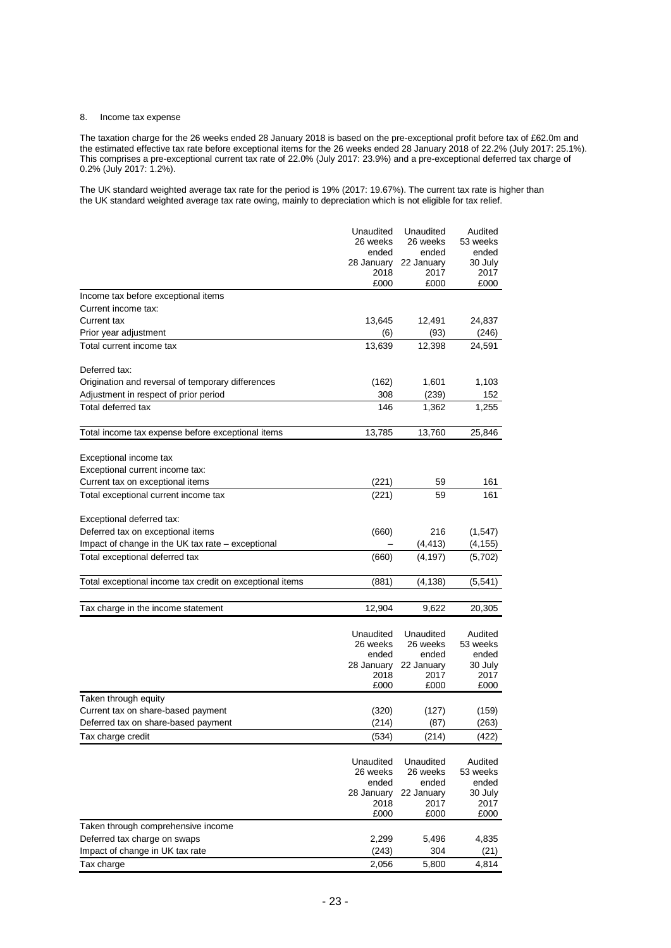# 8. Income tax expense

The taxation charge for the 26 weeks ended 28 January 2018 is based on the pre-exceptional profit before tax of £62.0m and the estimated effective tax rate before exceptional items for the 26 weeks ended 28 January 2018 of 22.2% (July 2017: 25.1%). This comprises a pre-exceptional current tax rate of 22.0% (July 2017: 23.9%) and a pre-exceptional deferred tax charge of 0.2% (July 2017: 1.2%).

The UK standard weighted average tax rate for the period is 19% (2017: 19.67%). The current tax rate is higher than the UK standard weighted average tax rate owing, mainly to depreciation which is not eligible for tax relief.

|                                                          | Unaudited             | Unaudited             | Audited             |
|----------------------------------------------------------|-----------------------|-----------------------|---------------------|
|                                                          | 26 weeks              | 26 weeks              | 53 weeks            |
|                                                          | ended                 | ended                 | ended               |
|                                                          | 28 January<br>2018    | 22 January<br>2017    | 30 July<br>2017     |
|                                                          | £000                  | £000                  | £000                |
| Income tax before exceptional items                      |                       |                       |                     |
| Current income tax:                                      |                       |                       |                     |
| Current tax                                              | 13,645                | 12,491                | 24,837              |
| Prior year adjustment                                    | (6)                   | (93)                  | (246)               |
| Total current income tax                                 | 13,639                | 12,398                | 24,591              |
| Deferred tax:                                            |                       |                       |                     |
| Origination and reversal of temporary differences        | (162)                 | 1,601                 | 1,103               |
| Adjustment in respect of prior period                    | 308                   | (239)                 | 152                 |
| Total deferred tax                                       | 146                   | 1,362                 | 1,255               |
|                                                          |                       |                       |                     |
| Total income tax expense before exceptional items        | 13,785                | 13,760                | 25,846              |
| Exceptional income tax                                   |                       |                       |                     |
| Exceptional current income tax:                          |                       |                       |                     |
| Current tax on exceptional items                         | (221)                 | 59                    | 161                 |
| Total exceptional current income tax                     | (221)                 | 59                    | 161                 |
|                                                          |                       |                       |                     |
| Exceptional deferred tax:                                |                       |                       |                     |
| Deferred tax on exceptional items                        | (660)                 | 216                   | (1,547)             |
| Impact of change in the UK tax rate – exceptional        |                       | (4, 413)              | (4, 155)            |
| Total exceptional deferred tax                           | (660)                 | (4, 197)              | (5,702)             |
| Total exceptional income tax credit on exceptional items | (881)                 | (4,138)               | (5, 541)            |
|                                                          |                       |                       |                     |
| Tax charge in the income statement                       | 12,904                | 9,622                 | 20,305              |
|                                                          |                       |                       |                     |
|                                                          | Unaudited<br>26 weeks | Unaudited<br>26 weeks | Audited<br>53 weeks |
|                                                          | ended                 | ended                 | ended               |
|                                                          | 28 January            | 22 January            | 30 July             |
|                                                          | 2018                  | 2017                  | 2017                |
|                                                          | £000                  | £000                  | £000                |
| Taken through equity                                     |                       |                       |                     |
| Current tax on share-based payment                       | (320)                 | (127)                 | (159)               |
| Deferred tax on share-based payment                      | (214)                 | (87)                  | (263)               |
| Tax charge credit                                        | (534)                 | (214)                 | (422)               |
|                                                          |                       |                       |                     |
|                                                          | Unaudited             | Unaudited             | Audited             |
|                                                          | 26 weeks              | 26 weeks              | 53 weeks            |
|                                                          | ended                 | ended                 | ended               |
|                                                          | 28 January            | 22 January            | 30 July             |
|                                                          | 2018                  | 2017                  | 2017                |
|                                                          | £000                  | £000                  | £000                |
| Taken through comprehensive income                       |                       |                       |                     |
| Deferred tax charge on swaps                             | 2,299                 | 5,496                 | 4,835               |
| Impact of change in UK tax rate                          | (243)                 | 304                   | (21)                |
| Tax charge                                               | 2,056                 | 5,800                 | 4,814               |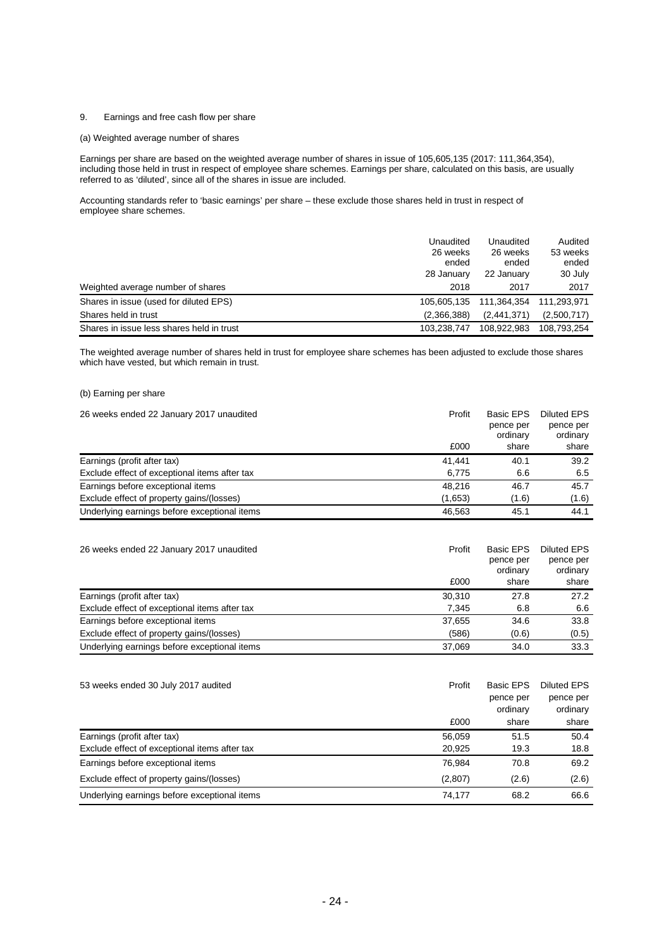# 9. Earnings and free cash flow per share

## (a) Weighted average number of shares

Earnings per share are based on the weighted average number of shares in issue of 105,605,135 (2017: 111,364,354), including those held in trust in respect of employee share schemes. Earnings per share, calculated on this basis, are usually referred to as 'diluted', since all of the shares in issue are included.

Accounting standards refer to 'basic earnings' per share – these exclude those shares held in trust in respect of employee share schemes.

| Weighted average number of shares         | Unaudited<br>26 weeks<br>ended<br>28 January<br>2018 | Unaudited<br>26 weeks<br>ended<br>22 January<br>2017 | Audited<br>53 weeks<br>ended<br>30 July<br>2017 |
|-------------------------------------------|------------------------------------------------------|------------------------------------------------------|-------------------------------------------------|
| Shares in issue (used for diluted EPS)    | 105.605.135                                          | 111.364.354                                          | 111,293,971                                     |
| Shares held in trust                      | (2,366,388)                                          | (2,441,371)                                          | (2,500,717)                                     |
| Shares in issue less shares held in trust | 103.238.747                                          | 108.922.983                                          | 108.793.254                                     |

The weighted average number of shares held in trust for employee share schemes has been adjusted to exclude those shares which have vested, but which remain in trust.

# (b) Earning per share

| 26 weeks ended 22 January 2017 unaudited      | Profit  | Basic EPS<br>pence per<br>ordinary | <b>Diluted EPS</b><br>pence per<br>ordinary |
|-----------------------------------------------|---------|------------------------------------|---------------------------------------------|
|                                               | £000    | share                              | share                                       |
| Earnings (profit after tax)                   | 41.441  | 40.1                               | 39.2                                        |
| Exclude effect of exceptional items after tax | 6.775   | 6.6                                | 6.5                                         |
| Earnings before exceptional items             | 48.216  | 46.7                               | 45.7                                        |
| Exclude effect of property gains/(losses)     | (1,653) | (1.6)                              | (1.6)                                       |
| Underlying earnings before exceptional items  | 46.563  | 45.1                               | 44.1                                        |

| 26 weeks ended 22 January 2017 unaudited      | Profit | <b>Basic EPS</b><br>pence per<br>ordinary | <b>Diluted EPS</b><br>pence per<br>ordinary |
|-----------------------------------------------|--------|-------------------------------------------|---------------------------------------------|
|                                               | £000   | share                                     | share                                       |
| Earnings (profit after tax)                   | 30,310 | 27.8                                      | 27.2                                        |
| Exclude effect of exceptional items after tax | 7.345  | 6.8                                       | 6.6                                         |
| Earnings before exceptional items             | 37.655 | 34.6                                      | 33.8                                        |
| Exclude effect of property gains/(losses)     | (586)  | (0.6)                                     | (0.5)                                       |
| Underlying earnings before exceptional items  | 37.069 | 34.0                                      | 33.3                                        |

| 53 weeks ended 30 July 2017 audited           | Profit  | <b>Basic EPS</b> | <b>Diluted EPS</b> |
|-----------------------------------------------|---------|------------------|--------------------|
|                                               |         | pence per        | pence per          |
|                                               |         | ordinary         | ordinary           |
|                                               | £000    | share            | share              |
| Earnings (profit after tax)                   | 56.059  | 51.5             | 50.4               |
| Exclude effect of exceptional items after tax | 20.925  | 19.3             | 18.8               |
| Earnings before exceptional items             | 76.984  | 70.8             | 69.2               |
| Exclude effect of property gains/(losses)     | (2,807) | (2.6)            | (2.6)              |
| Underlying earnings before exceptional items  | 74.177  | 68.2             | 66.6               |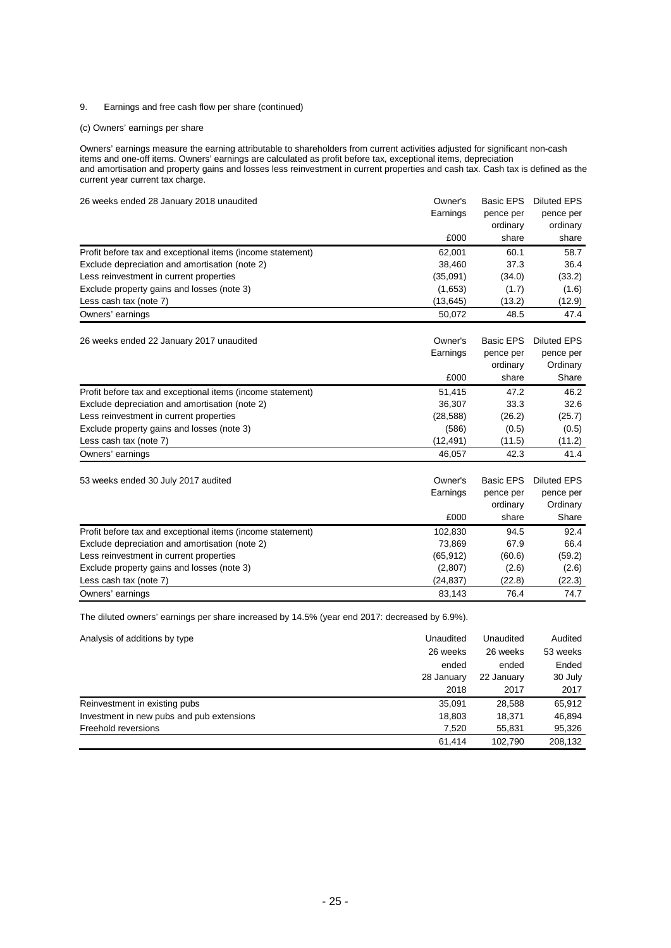# 9. Earnings and free cash flow per share (continued)

# (c) Owners' earnings per share

Owners' earnings measure the earning attributable to shareholders from current activities adjusted for significant non-cash items and one-off items. Owners' earnings are calculated as profit before tax, exceptional items, depreciation and amortisation and property gains and losses less reinvestment in current properties and cash tax. Cash tax is defined as the current year current tax charge.

| 26 weeks ended 28 January 2018 unaudited                   | Owner's<br>Earnings | <b>Basic EPS</b><br>pence per | Diluted EPS<br>pence per |
|------------------------------------------------------------|---------------------|-------------------------------|--------------------------|
|                                                            |                     |                               |                          |
|                                                            | £000                | share                         | share                    |
| Profit before tax and exceptional items (income statement) | 62,001              | 60.1                          | 58.7                     |
| Exclude depreciation and amortisation (note 2)             | 38,460              | 37.3                          | 36.4                     |
| Less reinvestment in current properties                    | (35,091)            | (34.0)                        | (33.2)                   |
| Exclude property gains and losses (note 3)                 | (1,653)             | (1.7)                         | (1.6)                    |
| Less cash tax (note 7)                                     | (13, 645)           | (13.2)                        | (12.9)                   |
| Owners' earnings                                           | 50.072              | 48.5                          | 47.4                     |
|                                                            |                     |                               |                          |

26 weeks ended 22 January 2017 unaudited **Owner's Basic EPS Diluted EPS**<br>Earnings pence per pence per

|                                                            | Earnings<br>£000 | pence per<br>ordinary<br>share | pence per<br>Ordinary<br>Share |
|------------------------------------------------------------|------------------|--------------------------------|--------------------------------|
| Profit before tax and exceptional items (income statement) | 51,415           | 47.2                           | 46.2                           |
| Exclude depreciation and amortisation (note 2)             | 36.307           | 33.3                           | 32.6                           |
| Less reinvestment in current properties                    | (28, 588)        | (26.2)                         | (25.7)                         |
| Exclude property gains and losses (note 3)                 | (586)            | (0.5)                          | (0.5)                          |
| Less cash tax (note 7)                                     | (12,491)         | (11.5)                         | (11.2)                         |
| Owners' earnings                                           | 46.057           | 42.3                           | 41.4                           |

| 53 weeks ended 30 July 2017 audited                        | Owner's   | Basic EPS | <b>Diluted EPS</b> |
|------------------------------------------------------------|-----------|-----------|--------------------|
|                                                            | Earnings  | pence per | pence per          |
|                                                            |           | ordinary  | Ordinary           |
|                                                            | £000      | share     | Share              |
| Profit before tax and exceptional items (income statement) | 102.830   | 94.5      | 92.4               |
| Exclude depreciation and amortisation (note 2)             | 73,869    | 67.9      | 66.4               |
| Less reinvestment in current properties                    | (65, 912) | (60.6)    | (59.2)             |
| Exclude property gains and losses (note 3)                 | (2,807)   | (2.6)     | (2.6)              |
| Less cash tax (note 7)                                     | (24, 837) | (22.8)    | (22.3)             |
| Owners' earnings                                           | 83.143    | 76.4      | 74.7               |

The diluted owners' earnings per share increased by 14.5% (year end 2017: decreased by 6.9%).

| Analysis of additions by type             | Unaudited  | Unaudited  | Audited  |
|-------------------------------------------|------------|------------|----------|
|                                           | 26 weeks   | 26 weeks   | 53 weeks |
|                                           | ended      | ended      | Ended    |
|                                           | 28 January | 22 January | 30 July  |
|                                           | 2018       | 2017       | 2017     |
| Reinvestment in existing pubs             | 35,091     | 28,588     | 65,912   |
| Investment in new pubs and pub extensions | 18,803     | 18.371     | 46.894   |
| Freehold reversions                       | 7,520      | 55,831     | 95,326   |
|                                           | 61.414     | 102.790    | 208,132  |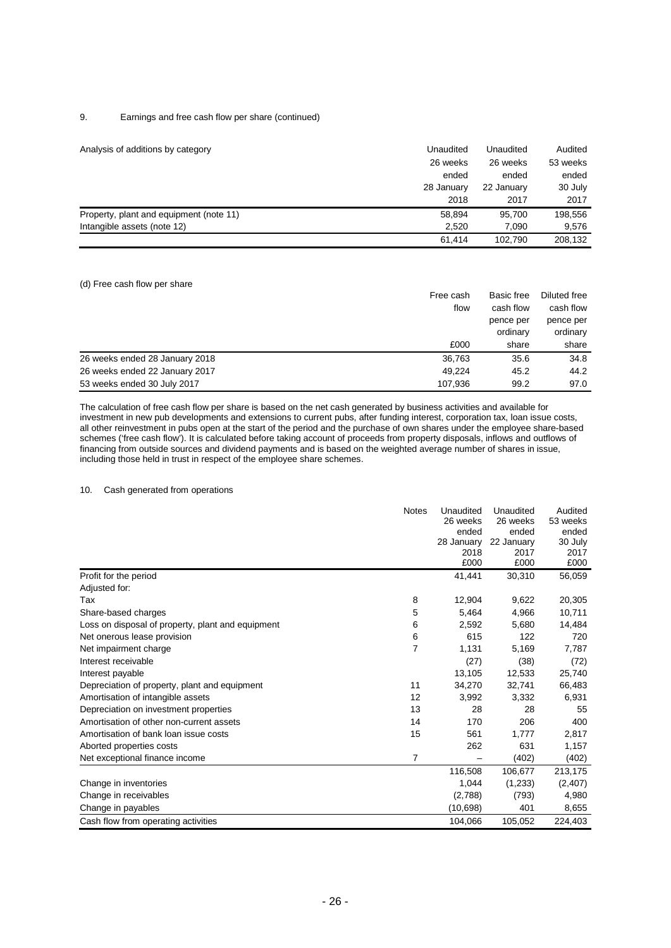# 9. Earnings and free cash flow per share (continued)

| Analysis of additions by category       | Unaudited<br>26 weeks | Unaudited<br>26 weeks | Audited<br>53 weeks |
|-----------------------------------------|-----------------------|-----------------------|---------------------|
|                                         | ended                 | ended                 | ended               |
|                                         | 28 January            | 22 January            | 30 July             |
|                                         | 2018                  | 2017                  | 2017                |
| Property, plant and equipment (note 11) | 58.894                | 95.700                | 198,556             |
| Intangible assets (note 12)             | 2.520                 | 7.090                 | 9,576               |
|                                         | 61,414                | 102.790               | 208,132             |

## (d) Free cash flow per share

|                                | Free cash<br>flow | Basic free | Diluted free |
|--------------------------------|-------------------|------------|--------------|
|                                |                   | cash flow  | cash flow    |
|                                |                   | pence per  | pence per    |
|                                |                   | ordinary   | ordinary     |
|                                | £000              | share      | share        |
| 26 weeks ended 28 January 2018 | 36.763            | 35.6       | 34.8         |
| 26 weeks ended 22 January 2017 | 49.224            | 45.2       | 44.2         |
| 53 weeks ended 30 July 2017    | 107.936           | 99.2       | 97.0         |

The calculation of free cash flow per share is based on the net cash generated by business activities and available for investment in new pub developments and extensions to current pubs, after funding interest, corporation tax, loan issue costs, all other reinvestment in pubs open at the start of the period and the purchase of own shares under the employee share-based schemes ('free cash flow'). It is calculated before taking account of proceeds from property disposals, inflows and outflows of financing from outside sources and dividend payments and is based on the weighted average number of shares in issue, including those held in trust in respect of the employee share schemes.

# 10. Cash generated from operations

|                                                   | <b>Notes</b> | Unaudited    | Unaudited    | Audited      |
|---------------------------------------------------|--------------|--------------|--------------|--------------|
|                                                   |              | 26 weeks     | 26 weeks     | 53 weeks     |
|                                                   |              | ended        | ended        | ended        |
|                                                   |              | 28 January   | 22 January   | 30 July      |
|                                                   |              | 2018<br>£000 | 2017<br>£000 | 2017<br>£000 |
|                                                   |              |              |              |              |
| Profit for the period                             |              | 41,441       | 30,310       | 56,059       |
| Adjusted for:                                     |              |              |              |              |
| Tax                                               | 8            | 12,904       | 9,622        | 20,305       |
| Share-based charges                               | 5            | 5,464        | 4,966        | 10,711       |
| Loss on disposal of property, plant and equipment | 6            | 2,592        | 5,680        | 14,484       |
| Net onerous lease provision                       | 6            | 615          | 122          | 720          |
| Net impairment charge                             | 7            | 1,131        | 5,169        | 7,787        |
| Interest receivable                               |              | (27)         | (38)         | (72)         |
| Interest payable                                  |              | 13,105       | 12,533       | 25,740       |
| Depreciation of property, plant and equipment     | 11           | 34,270       | 32,741       | 66,483       |
| Amortisation of intangible assets                 | 12           | 3,992        | 3,332        | 6,931        |
| Depreciation on investment properties             | 13           | 28           | 28           | 55           |
| Amortisation of other non-current assets          | 14           | 170          | 206          | 400          |
| Amortisation of bank loan issue costs             | 15           | 561          | 1.777        | 2,817        |
| Aborted properties costs                          |              | 262          | 631          | 1,157        |
| Net exceptional finance income                    | 7            |              | (402)        | (402)        |
|                                                   |              | 116,508      | 106,677      | 213,175      |
| Change in inventories                             |              | 1,044        | (1,233)      | (2,407)      |
| Change in receivables                             |              | (2,788)      | (793)        | 4,980        |
| Change in payables                                |              | (10,698)     | 401          | 8,655        |
| Cash flow from operating activities               |              | 104,066      | 105,052      | 224,403      |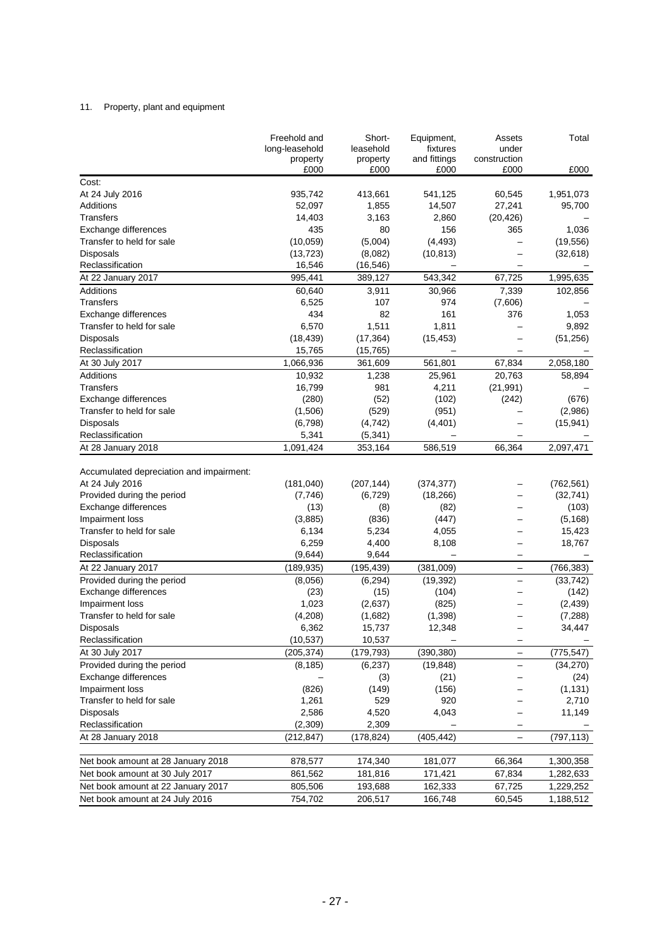# 11. Property, plant and equipment

|                                                                       | Freehold and<br>long-leasehold | Short-<br>leasehold | Equipment,<br>fixtures   | Assets<br>under          | Total                  |
|-----------------------------------------------------------------------|--------------------------------|---------------------|--------------------------|--------------------------|------------------------|
|                                                                       | property<br>£000               | property<br>£000    | and fittings<br>£000     | construction<br>£000     | £000                   |
| Cost:                                                                 |                                |                     |                          |                          |                        |
| At 24 July 2016                                                       | 935,742                        | 413,661             |                          |                          | 1,951,073              |
| Additions                                                             |                                | 1,855               | 541,125<br>14,507        | 60,545<br>27,241         |                        |
| <b>Transfers</b>                                                      | 52,097<br>14,403               | 3,163               | 2,860                    |                          | 95,700                 |
|                                                                       | 435                            |                     |                          | (20, 426)                |                        |
| Exchange differences<br>Transfer to held for sale                     |                                | 80                  | 156                      | 365                      | 1,036                  |
|                                                                       | (10, 059)                      | (5,004)             | (4, 493)                 |                          | (19, 556)              |
| Disposals                                                             | (13, 723)                      | (8,082)             | (10, 813)                |                          | (32, 618)              |
| Reclassification                                                      | 16,546                         | (16, 546)           |                          |                          |                        |
| At 22 January 2017                                                    | 995,441                        | 389,127             | 543,342                  | 67,725                   | 1,995,635              |
| Additions                                                             | 60,640                         | 3,911               | 30,966                   | 7,339                    | 102,856                |
| Transfers                                                             | 6,525                          | 107                 | 974                      | (7,606)                  |                        |
| Exchange differences                                                  | 434                            | 82                  | 161                      | 376                      | 1,053                  |
| Transfer to held for sale                                             | 6,570                          | 1,511               | 1,811                    |                          | 9,892                  |
| <b>Disposals</b>                                                      | (18, 439)                      | (17, 364)           | (15, 453)                |                          | (51, 256)              |
| Reclassification                                                      | 15,765                         | (15, 765)           | $\overline{\phantom{0}}$ | -                        |                        |
| At 30 July 2017                                                       | 1,066,936                      | 361,609             | 561,801                  | 67,834                   | 2,058,180              |
| Additions                                                             | 10,932                         | 1,238               | 25,961                   | 20,763                   | 58,894                 |
| <b>Transfers</b>                                                      | 16,799                         | 981                 | 4,211                    | (21, 991)                |                        |
| Exchange differences                                                  | (280)                          | (52)                | (102)                    | (242)                    | (676)                  |
| Transfer to held for sale                                             | (1,506)                        | (529)               | (951)                    |                          | (2,986)                |
| <b>Disposals</b>                                                      | (6,798)                        | (4, 742)            | (4, 401)                 |                          | (15, 941)              |
| Reclassification                                                      | 5,341                          | (5, 341)            |                          |                          |                        |
| At 28 January 2018                                                    | 1,091,424                      | 353,164             | 586,519                  | 66,364                   | 2,097,471              |
|                                                                       |                                |                     |                          |                          |                        |
| Accumulated depreciation and impairment:                              |                                |                     |                          |                          |                        |
| At 24 July 2016                                                       | (181, 040)                     | (207, 144)          | (374, 377)               |                          | (762, 561)             |
| Provided during the period                                            | (7, 746)                       | (6, 729)            | (18, 266)                |                          | (32, 741)              |
| Exchange differences                                                  | (13)                           | (8)                 | (82)                     |                          | (103)                  |
| Impairment loss                                                       | (3,885)                        | (836)               | (447)                    |                          | (5, 168)               |
| Transfer to held for sale                                             | 6,134                          | 5,234               | 4,055                    |                          | 15,423                 |
| Disposals                                                             | 6,259                          | 4,400               | 8,108                    |                          | 18,767                 |
| Reclassification                                                      | (9,644)                        | 9,644               |                          |                          |                        |
| At 22 January 2017                                                    | (189, 935)                     | (195, 439)          | (381,009)                | $\overline{\phantom{0}}$ | (766, 383)             |
| Provided during the period                                            | (8,056)                        | (6, 294)            | (19, 392)                | $\qquad \qquad -$        | (33, 742)              |
| Exchange differences                                                  | (23)                           | (15)                | (104)                    |                          | (142)                  |
| Impairment loss                                                       | 1,023                          | (2,637)             | (825)                    |                          | (2, 439)               |
| Transfer to held for sale                                             | (4,208)                        | (1,682)             | (1,398)                  |                          | (7, 288)               |
| Disposals                                                             | 6,362<br>(10, 537)             | 15,737              | 12,348                   |                          | 34,447                 |
| Reclassification                                                      |                                | 10,537              |                          | $\qquad \qquad -$        |                        |
| At 30 July 2017                                                       | (205, 374)                     | (179, 793)          | (390, 380)               | $\qquad \qquad -$        | (775, 547)             |
| Provided during the period                                            | (8, 185)                       | (6, 237)            | (19, 848)                |                          | (34, 270)              |
| Exchange differences                                                  |                                | (3)                 | (21)                     |                          | (24)                   |
| Impairment loss                                                       | (826)                          | (149)               | (156)                    |                          | (1, 131)               |
| Transfer to held for sale                                             | 1,261                          | 529                 | 920                      |                          | 2,710                  |
| <b>Disposals</b>                                                      | 2,586                          | 4,520               | 4,043                    |                          | 11,149                 |
| Reclassification                                                      | (2,309)                        | 2,309               |                          |                          |                        |
| At 28 January 2018                                                    | (212, 847)                     | (178, 824)          | (405, 442)               |                          | (797, 113)             |
| Net book amount at 28 January 2018                                    | 878,577                        | 174,340             | 181,077                  | 66,364                   | 1,300,358              |
| Net book amount at 30 July 2017                                       | 861,562                        | 181,816             | 171,421                  | 67,834                   | 1,282,633              |
|                                                                       |                                |                     |                          |                          |                        |
| Net book amount at 22 January 2017<br>Net book amount at 24 July 2016 | 805,506<br>754,702             | 193,688<br>206,517  | 162,333<br>166,748       | 67,725<br>60,545         | 1,229,252<br>1,188,512 |
|                                                                       |                                |                     |                          |                          |                        |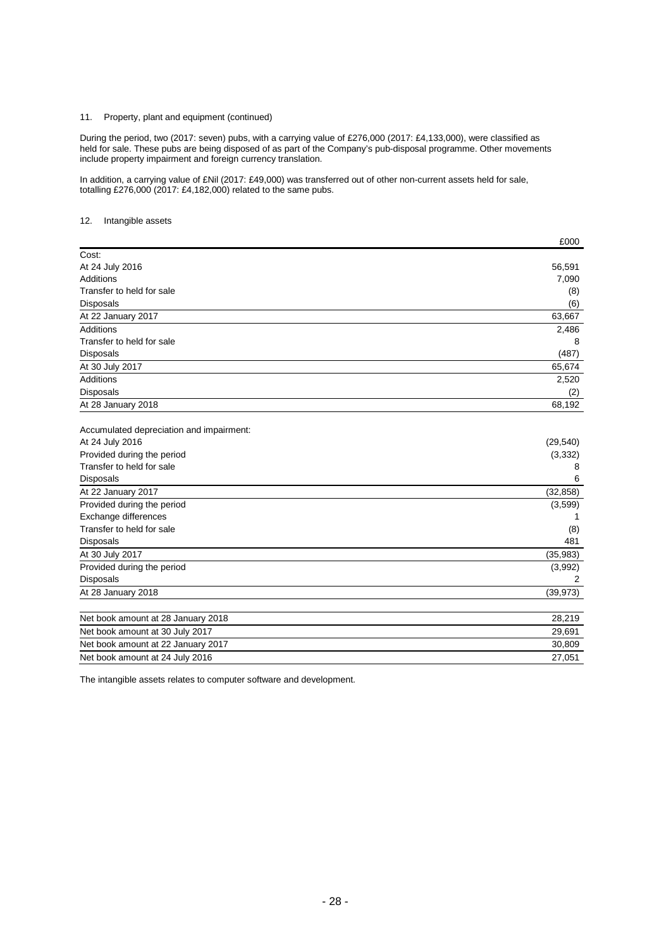# 11. Property, plant and equipment (continued)

During the period, two (2017: seven) pubs, with a carrying value of £276,000 (2017: £4,133,000), were classified as held for sale. These pubs are being disposed of as part of the Company's pub-disposal programme. Other movements include property impairment and foreign currency translation.

In addition, a carrying value of £Nil (2017: £49,000) was transferred out of other non-current assets held for sale, totalling £276,000 (2017: £4,182,000) related to the same pubs.

# 12. Intangible assets

|                                          | £000           |
|------------------------------------------|----------------|
| Cost:                                    |                |
| At 24 July 2016                          | 56,591         |
| <b>Additions</b>                         | 7,090          |
| Transfer to held for sale                | (8)            |
| Disposals                                | (6)            |
| At 22 January 2017                       | 63,667         |
| <b>Additions</b>                         | 2,486          |
| Transfer to held for sale                | 8              |
| <b>Disposals</b>                         | (487)          |
| At 30 July 2017                          | 65,674         |
| <b>Additions</b>                         | 2,520          |
| <b>Disposals</b>                         | (2)            |
| At 28 January 2018                       | 68,192         |
| Accumulated depreciation and impairment: |                |
| At 24 July 2016                          | (29, 540)      |
| Provided during the period               | (3, 332)       |
| Transfer to held for sale                | 8              |
| <b>Disposals</b>                         | 6              |
| At 22 January 2017                       | (32, 858)      |
| Provided during the period               | (3,599)        |
| Exchange differences                     |                |
| Transfer to held for sale                | (8)            |
| <b>Disposals</b>                         | 481            |
| At 30 July 2017                          | (35, 983)      |
| Provided during the period               | (3,992)        |
| Disposals                                | $\overline{2}$ |
| At 28 January 2018                       | (39, 973)      |
| Net book amount at 28 January 2018       | 28,219         |
| Net book amount at 30 July 2017          | 29,691         |
| Net book amount at 22 January 2017       | 30,809         |
| Net book amount at 24 July 2016          | 27,051         |

The intangible assets relates to computer software and development.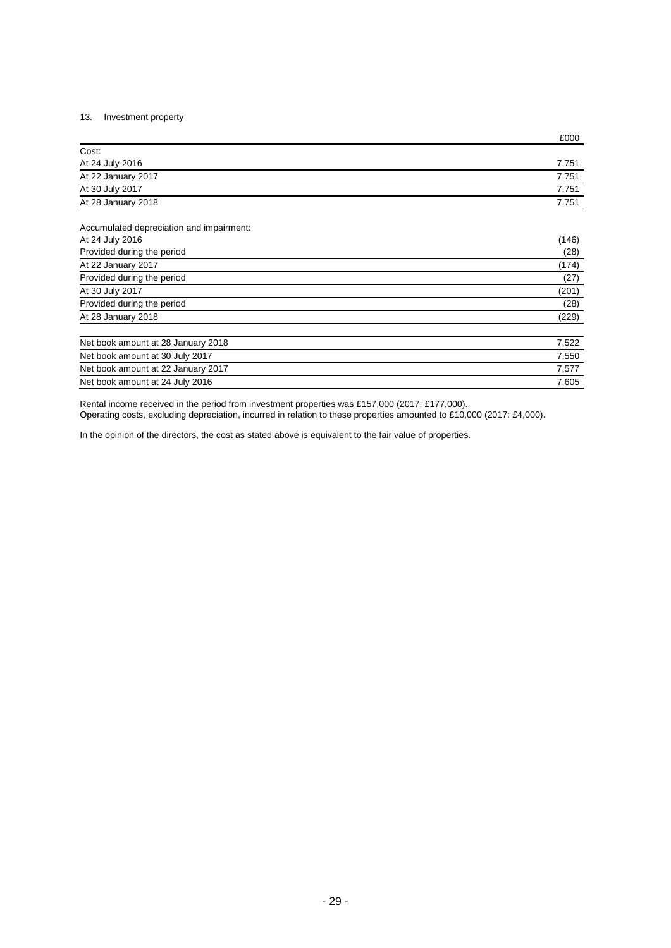# 13. Investment property

|                    | £000  |
|--------------------|-------|
| Cost:              |       |
| At 24 July 2016    | 7.751 |
| At 22 January 2017 | 7,751 |
| At 30 July 2017    | 7.751 |
| At 28 January 2018 | 7.751 |

Accumulated depreciation and impairment: At 24 July 2016 (146)

|                                    | .     |
|------------------------------------|-------|
| Provided during the period         | (28)  |
| At 22 January 2017                 | (174) |
| Provided during the period         | (27)  |
| At 30 July 2017                    | (201) |
| Provided during the period         | (28)  |
| At 28 January 2018                 | (229) |
| Net book amount at 28 January 2018 | 7,522 |
| Net book amount at 30 July 2017    | 7,550 |
| Net book amount at 22 January 2017 | 7,577 |
| Net book amount at 24 July 2016    | 7.605 |

Rental income received in the period from investment properties was £157,000 (2017: £177,000). Operating costs, excluding depreciation, incurred in relation to these properties amounted to £10,000 (2017: £4,000).

In the opinion of the directors, the cost as stated above is equivalent to the fair value of properties.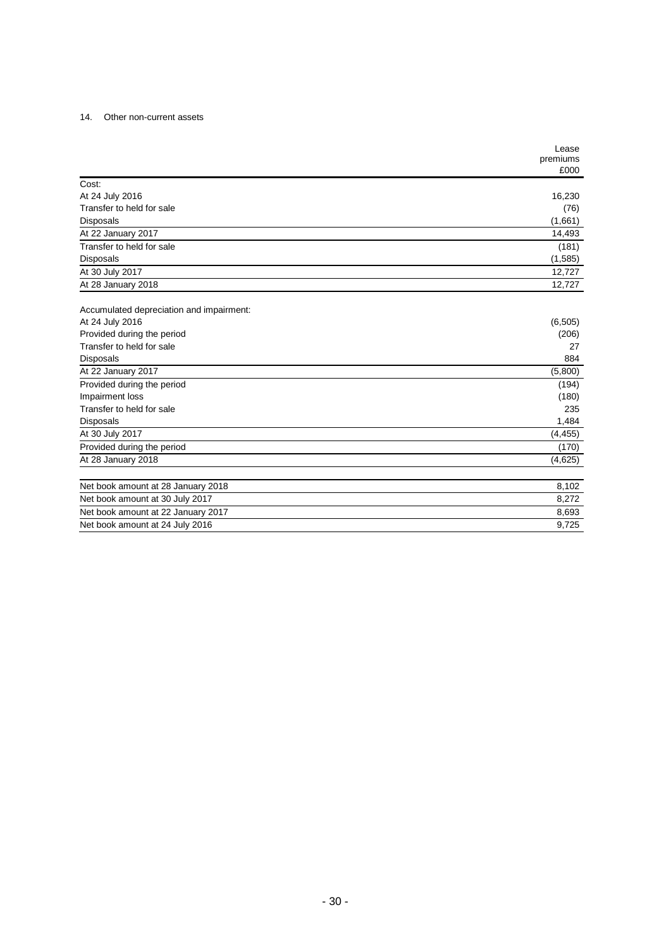# 14. Other non-current assets

|                                          | Lease<br>premiums<br>£000 |
|------------------------------------------|---------------------------|
| Cost:                                    |                           |
| At 24 July 2016                          | 16,230                    |
| Transfer to held for sale                | (76)                      |
| <b>Disposals</b>                         | (1,661)                   |
| At 22 January 2017                       | 14,493                    |
| Transfer to held for sale                | (181)                     |
| <b>Disposals</b>                         | (1,585)                   |
| At 30 July 2017                          | 12,727                    |
| At 28 January 2018                       | 12,727                    |
| Accumulated depreciation and impairment: |                           |
| At 24 July 2016                          | (6, 505)                  |
| Provided during the period               | (206)                     |
| Transfer to held for sale                | 27                        |
| <b>Disposals</b>                         | 884                       |
| At 22 January 2017                       | (5,800)                   |
| Provided during the period               | (194)                     |
| Impairment loss                          | (180)                     |
| Transfer to held for sale                | 235                       |
| <b>Disposals</b>                         | 1,484                     |
| At 30 July 2017                          | (4, 455)                  |
| Provided during the period               | (170)                     |
| At 28 January 2018                       | (4,625)                   |
| Net book amount at 28 January 2018       | 8,102                     |
| Net book amount at 30 July 2017          | 8,272                     |
| Net book amount at 22 January 2017       | 8,693                     |
| Net book amount at 24 July 2016          | 9,725                     |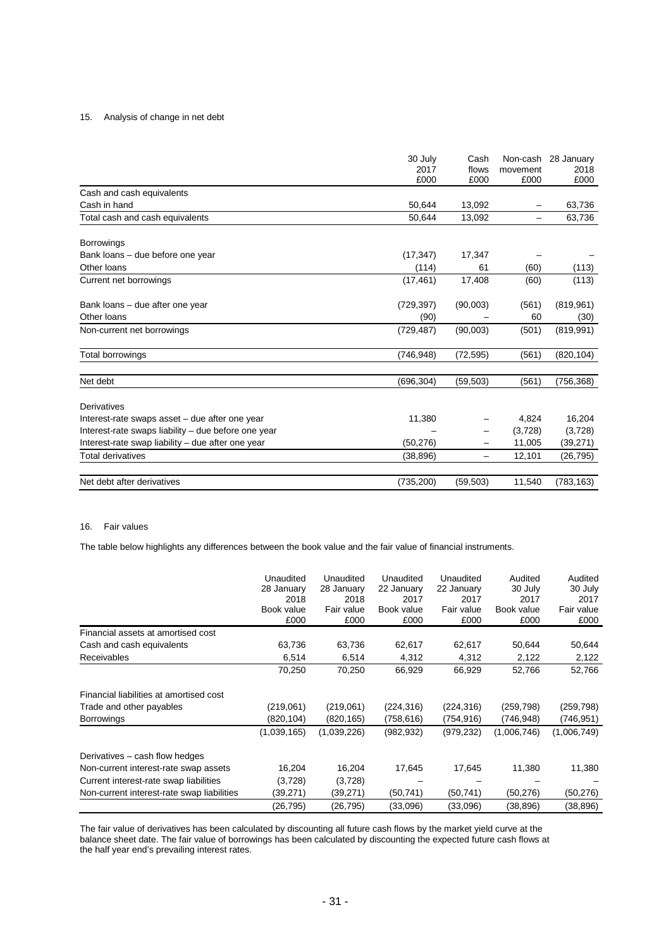# 15. Analysis of change in net debt

|                                                     | 30 July<br>2017<br>£000 | Cash<br>flows<br>£000 | movement<br>£000 | Non-cash 28 January<br>2018<br>£000 |
|-----------------------------------------------------|-------------------------|-----------------------|------------------|-------------------------------------|
| Cash and cash equivalents                           |                         |                       |                  |                                     |
| Cash in hand                                        | 50,644                  | 13,092                |                  | 63,736                              |
| Total cash and cash equivalents                     | 50,644                  | 13,092                | -                | 63,736                              |
| <b>Borrowings</b>                                   |                         |                       |                  |                                     |
| Bank loans - due before one year                    | (17, 347)               | 17,347                |                  |                                     |
| Other loans                                         | (114)                   | 61                    | (60)             | (113)                               |
| Current net borrowings                              | (17, 461)               | 17,408                | (60)             | (113)                               |
| Bank loans - due after one year                     | (729, 397)              | (90,003)              | (561)            | (819, 961)                          |
| Other loans                                         | (90)                    |                       | 60               | (30)                                |
| Non-current net borrowings                          | (729, 487)              | (90,003)              | (501)            | (819, 991)                          |
| Total borrowings                                    | (746, 948)              | (72, 595)             | (561)            | (820, 104)                          |
| Net debt                                            | (696, 304)              | (59, 503)             | (561)            | (756, 368)                          |
| <b>Derivatives</b>                                  |                         |                       |                  |                                     |
| Interest-rate swaps asset - due after one year      | 11,380                  |                       | 4,824            | 16,204                              |
| Interest-rate swaps liability - due before one year |                         |                       | (3,728)          | (3,728)                             |
| Interest-rate swap liability - due after one year   | (50, 276)               |                       | 11,005           | (39, 271)                           |
| Total derivatives                                   | (38, 896)               | -                     | 12,101           | (26, 795)                           |
| Net debt after derivatives                          | (735, 200)              | (59, 503)             | 11,540           | (783, 163)                          |

#### 16. Fair values

The table below highlights any differences between the book value and the fair value of financial instruments.

|                                            | Unaudited<br>28 January<br>2018<br>Book value<br>£000 | Unaudited<br>28 January<br>2018<br>Fair value<br>£000 | Unaudited<br>22 January<br>2017<br>Book value<br>£000 | Unaudited<br>22 January<br>2017<br>Fair value<br>£000 | Audited<br>30 July<br>2017<br>Book value<br>£000 | Audited<br>30 July<br>2017<br>Fair value<br>£000 |
|--------------------------------------------|-------------------------------------------------------|-------------------------------------------------------|-------------------------------------------------------|-------------------------------------------------------|--------------------------------------------------|--------------------------------------------------|
| Financial assets at amortised cost         |                                                       |                                                       |                                                       |                                                       |                                                  |                                                  |
| Cash and cash equivalents                  | 63,736                                                | 63,736                                                | 62,617                                                | 62,617                                                | 50,644                                           | 50,644                                           |
| <b>Receivables</b>                         | 6,514                                                 | 6,514                                                 | 4,312                                                 | 4,312                                                 | 2,122                                            | 2,122                                            |
|                                            | 70,250                                                | 70,250                                                | 66,929                                                | 66,929                                                | 52,766                                           | 52,766                                           |
| Financial liabilities at amortised cost    |                                                       |                                                       |                                                       |                                                       |                                                  |                                                  |
| Trade and other payables                   | (219,061)                                             | (219,061)                                             | (224, 316)                                            | (224, 316)                                            | (259, 798)                                       | (259, 798)                                       |
| <b>Borrowings</b>                          | (820,104)                                             | (820,165)                                             | (758,616)                                             | (754,916)                                             | (746,948)                                        | (746,951)                                        |
|                                            | (1,039,165)                                           | (1,039,226)                                           | (982, 932)                                            | (979,232)                                             | (1,006,746)                                      | (1,006,749)                                      |
| Derivatives – cash flow hedges             |                                                       |                                                       |                                                       |                                                       |                                                  |                                                  |
| Non-current interest-rate swap assets      | 16,204                                                | 16,204                                                | 17,645                                                | 17,645                                                | 11,380                                           | 11,380                                           |
| Current interest-rate swap liabilities     | (3,728)                                               | (3,728)                                               |                                                       |                                                       |                                                  |                                                  |
| Non-current interest-rate swap liabilities | (39,271)                                              | (39,271)                                              | (50, 741)                                             | (50,741)                                              | (50,276)                                         | (50,276)                                         |
|                                            | (26,795)                                              | (26, 795)                                             | (33,096)                                              | (33,096)                                              | (38,896)                                         | (38,896)                                         |

The fair value of derivatives has been calculated by discounting all future cash flows by the market yield curve at the balance sheet date. The fair value of borrowings has been calculated by discounting the expected future cash flows at the half year end's prevailing interest rates.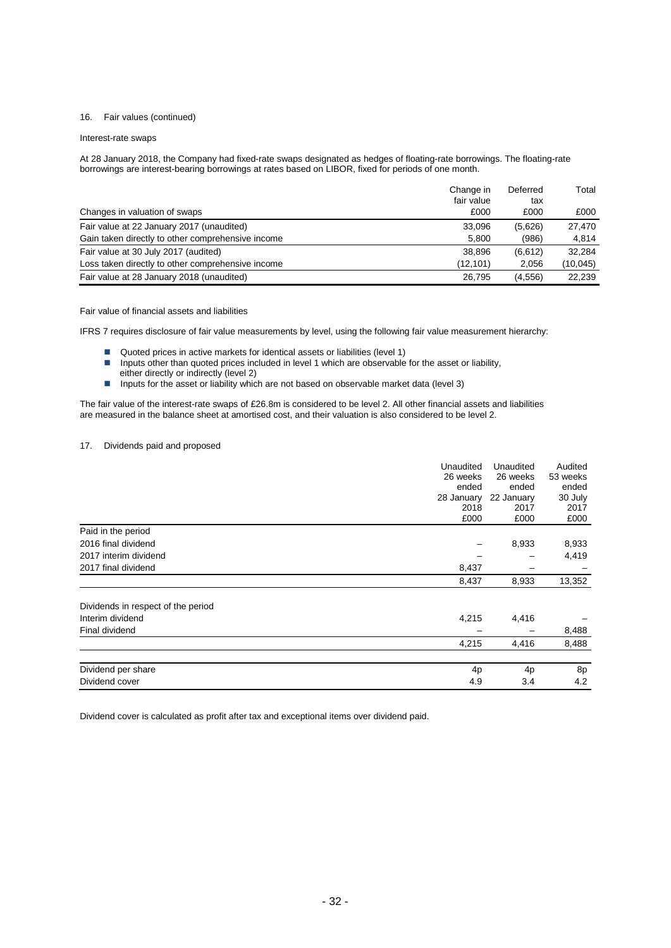# 16. Fair values (continued)

#### Interest-rate swaps

At 28 January 2018, the Company had fixed-rate swaps designated as hedges of floating-rate borrowings. The floating-rate borrowings are interest-bearing borrowings at rates based on LIBOR, fixed for periods of one month.

|                                                   | Change in<br>fair value | Deferred<br>tax | Total    |
|---------------------------------------------------|-------------------------|-----------------|----------|
| Changes in valuation of swaps                     | £000                    | £000            | £000     |
| Fair value at 22 January 2017 (unaudited)         | 33.096                  | (5,626)         | 27.470   |
| Gain taken directly to other comprehensive income | 5.800                   | (986)           | 4,814    |
| Fair value at 30 July 2017 (audited)              | 38.896                  | (6,612)         | 32.284   |
| Loss taken directly to other comprehensive income | (12.101)                | 2,056           | (10,045) |
| Fair value at 28 January 2018 (unaudited)         | 26.795                  | (4.556)         | 22.239   |

#### Fair value of financial assets and liabilities

IFRS 7 requires disclosure of fair value measurements by level, using the following fair value measurement hierarchy:

- Quoted prices in active markets for identical assets or liabilities (level 1)
- **Inputs other than quoted prices included in level 1 which are observable for the asset or liability,**
- either directly or indirectly (level 2)
- Inputs for the asset or liability which are not based on observable market data (level 3)

The fair value of the interest-rate swaps of £26.8m is considered to be level 2. All other financial assets and liabilities are measured in the balance sheet at amortised cost, and their valuation is also considered to be level 2.

## 17. Dividends paid and proposed

|                                    | Unaudited<br>26 weeks<br>ended<br>28 January<br>2018<br>£000 | Unaudited<br>26 weeks<br>ended<br>22 January<br>2017<br>£000 | Audited<br>53 weeks<br>ended<br>30 July<br>2017<br>£000 |
|------------------------------------|--------------------------------------------------------------|--------------------------------------------------------------|---------------------------------------------------------|
| Paid in the period                 |                                                              |                                                              |                                                         |
| 2016 final dividend                |                                                              | 8,933                                                        | 8,933                                                   |
| 2017 interim dividend              |                                                              |                                                              | 4,419                                                   |
| 2017 final dividend                | 8,437                                                        |                                                              |                                                         |
|                                    | 8,437                                                        | 8,933                                                        | 13,352                                                  |
| Dividends in respect of the period |                                                              |                                                              |                                                         |
| Interim dividend                   | 4,215                                                        | 4,416                                                        |                                                         |
| Final dividend                     |                                                              |                                                              | 8,488                                                   |
|                                    | 4,215                                                        | 4,416                                                        | 8,488                                                   |
| Dividend per share                 | 4p                                                           | 4 <sub>p</sub>                                               | 8p                                                      |
| Dividend cover                     | 4.9                                                          | 3.4                                                          | 4.2                                                     |

Dividend cover is calculated as profit after tax and exceptional items over dividend paid.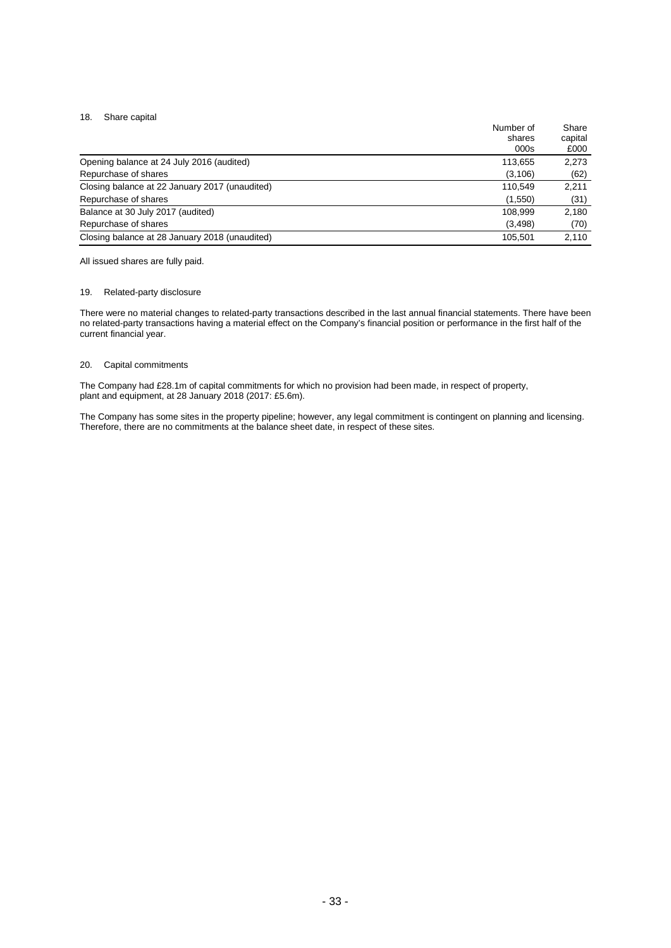# 18. Share capital

| Number of                                                 | Share   |
|-----------------------------------------------------------|---------|
| shares                                                    | capital |
| 000s                                                      | £000    |
| Opening balance at 24 July 2016 (audited)<br>113,655      | 2,273   |
| Repurchase of shares<br>(3, 106)                          | (62)    |
| Closing balance at 22 January 2017 (unaudited)<br>110,549 | 2,211   |
| Repurchase of shares<br>(1,550)                           | (31)    |
| Balance at 30 July 2017 (audited)<br>108.999              | 2.180   |
| Repurchase of shares<br>(3, 498)                          | (70)    |
| Closing balance at 28 January 2018 (unaudited)<br>105.501 | 2,110   |

All issued shares are fully paid.

# 19. Related-party disclosure

There were no material changes to related-party transactions described in the last annual financial statements. There have been no related-party transactions having a material effect on the Company's financial position or performance in the first half of the current financial year.

# 20. Capital commitments

The Company had £28.1m of capital commitments for which no provision had been made, in respect of property, plant and equipment, at 28 January 2018 (2017: £5.6m).

The Company has some sites in the property pipeline; however, any legal commitment is contingent on planning and licensing. Therefore, there are no commitments at the balance sheet date, in respect of these sites.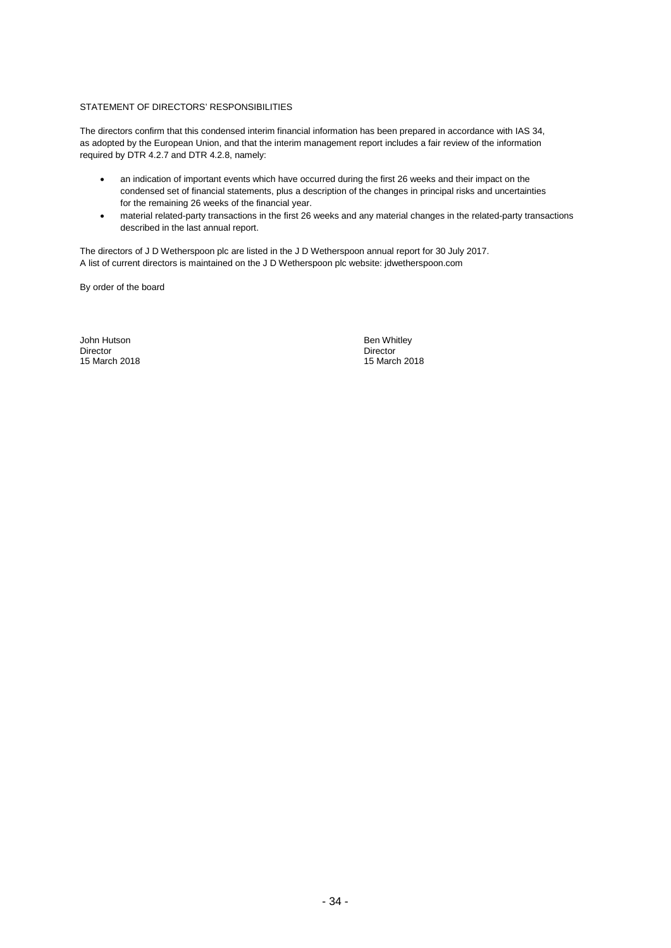# STATEMENT OF DIRECTORS' RESPONSIBILITIES

The directors confirm that this condensed interim financial information has been prepared in accordance with IAS 34, as adopted by the European Union, and that the interim management report includes a fair review of the information required by DTR 4.2.7 and DTR 4.2.8, namely:

- an indication of important events which have occurred during the first 26 weeks and their impact on the condensed set of financial statements, plus a description of the changes in principal risks and uncertainties for the remaining 26 weeks of the financial year.
- material related-party transactions in the first 26 weeks and any material changes in the related-party transactions described in the last annual report.

The directors of J D Wetherspoon plc are listed in the J D Wetherspoon annual report for 30 July 2017. A list of current directors is maintained on the J D Wetherspoon plc website: jdwetherspoon.com

By order of the board

John Hutson Ben Whitley Ben Whitley Ben Whitley<br>
Director Ben Whitley Birector Director Director 15 March 2018 15 March 2018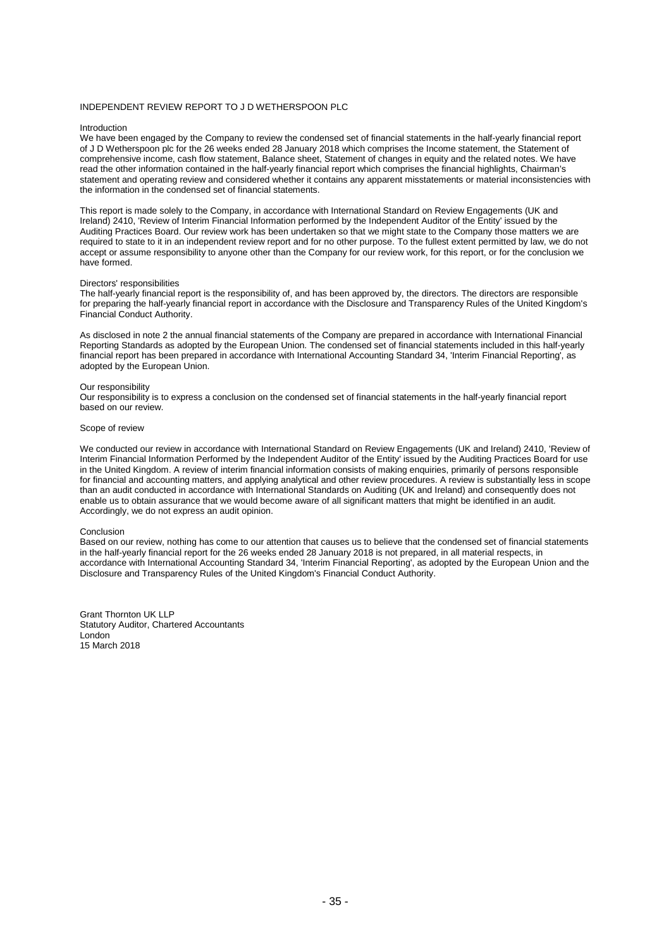#### INDEPENDENT REVIEW REPORT TO J D WETHERSPOON PLC

#### Introduction

We have been engaged by the Company to review the condensed set of financial statements in the half-yearly financial report of J D Wetherspoon plc for the 26 weeks ended 28 January 2018 which comprises the Income statement, the Statement of comprehensive income, cash flow statement, Balance sheet, Statement of changes in equity and the related notes. We have read the other information contained in the half-yearly financial report which comprises the financial highlights, Chairman's statement and operating review and considered whether it contains any apparent misstatements or material inconsistencies with the information in the condensed set of financial statements.

This report is made solely to the Company, in accordance with International Standard on Review Engagements (UK and Ireland) 2410, 'Review of Interim Financial Information performed by the Independent Auditor of the Entity' issued by the Auditing Practices Board. Our review work has been undertaken so that we might state to the Company those matters we are required to state to it in an independent review report and for no other purpose. To the fullest extent permitted by law, we do not accept or assume responsibility to anyone other than the Company for our review work, for this report, or for the conclusion we have formed.

#### Directors' responsibilities

The half-yearly financial report is the responsibility of, and has been approved by, the directors. The directors are responsible for preparing the half-yearly financial report in accordance with the Disclosure and Transparency Rules of the United Kingdom's Financial Conduct Authority.

As disclosed in note 2 the annual financial statements of the Company are prepared in accordance with International Financial Reporting Standards as adopted by the European Union. The condensed set of financial statements included in this half-yearly financial report has been prepared in accordance with International Accounting Standard 34, 'Interim Financial Reporting', as adopted by the European Union.

#### Our responsibility

Our responsibility is to express a conclusion on the condensed set of financial statements in the half-yearly financial report based on our review.

#### Scope of review

We conducted our review in accordance with International Standard on Review Engagements (UK and Ireland) 2410, 'Review of Interim Financial Information Performed by the Independent Auditor of the Entity' issued by the Auditing Practices Board for use in the United Kingdom. A review of interim financial information consists of making enquiries, primarily of persons responsible for financial and accounting matters, and applying analytical and other review procedures. A review is substantially less in scope than an audit conducted in accordance with International Standards on Auditing (UK and Ireland) and consequently does not enable us to obtain assurance that we would become aware of all significant matters that might be identified in an audit. Accordingly, we do not express an audit opinion.

#### Conclusion

Based on our review, nothing has come to our attention that causes us to believe that the condensed set of financial statements in the half-yearly financial report for the 26 weeks ended 28 January 2018 is not prepared, in all material respects, in accordance with International Accounting Standard 34, 'Interim Financial Reporting', as adopted by the European Union and the Disclosure and Transparency Rules of the United Kingdom's Financial Conduct Authority.

Grant Thornton UK LLP Statutory Auditor, Chartered Accountants London 15 March 2018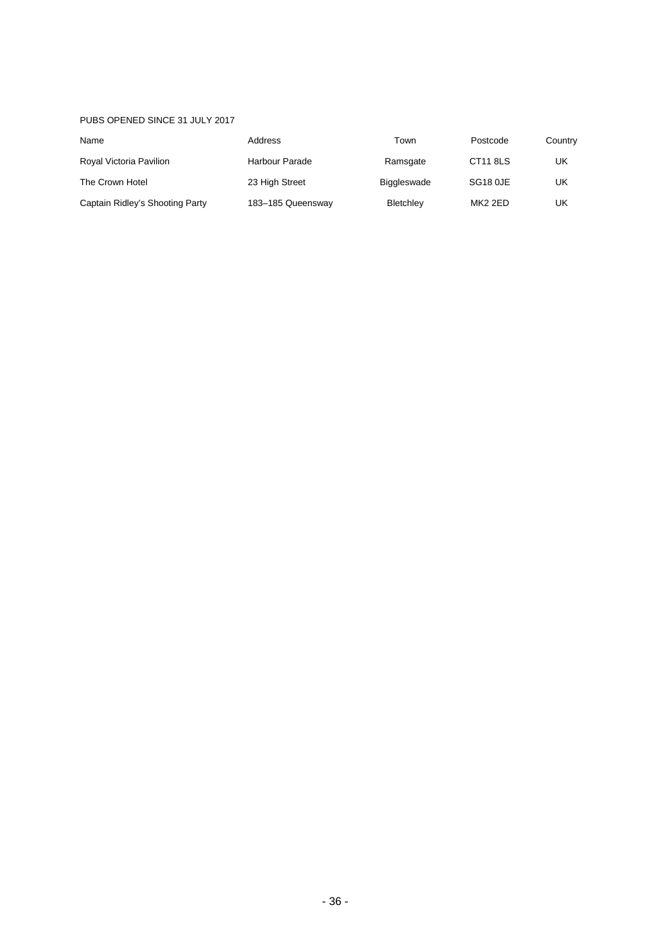# PUBS OPENED SINCE 31 JULY 2017

| Name                            | Address           | Town               | Postcode            | Country |
|---------------------------------|-------------------|--------------------|---------------------|---------|
| Royal Victoria Pavilion         | Harbour Parade    | Ramsgate           | CT11 8LS            | UK      |
| The Crown Hotel                 | 23 High Street    | <b>Biggleswade</b> | SG18 0JE            | UK      |
| Captain Ridley's Shooting Party | 183-185 Queensway | Bletchley          | MK <sub>2</sub> 2ED | UK      |